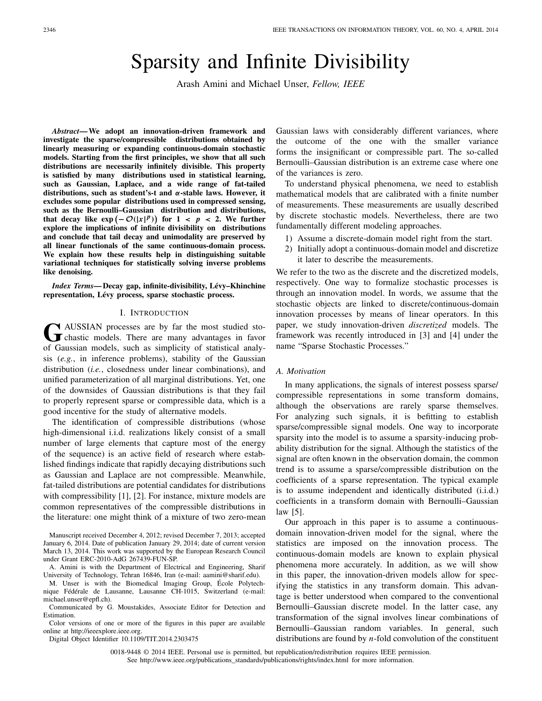# Sparsity and Infinite Divisibility

Arash Amini and Michael Unser, *Fellow, IEEE*

*Abstract***— We adopt an innovation-driven framework and investigate the sparse/compressible distributions obtained by linearly measuring or expanding continuous-domain stochastic models. Starting from the first principles, we show that all such distributions are necessarily infinitely divisible. This property is satisfied by many distributions used in statistical learning, such as Gaussian, Laplace, and a wide range of fat-tailed distributions, such as student's-t and** *α***-stable laws. However, it excludes some popular distributions used in compressed sensing, such as the Bernoulli–Gaussian distribution and distributions, that decay like**  $\exp(-\mathcal{O}(|x|^p))$  **for**  $1 < p < 2$ **. We further explore the implications of infinite divisibility on distributions and conclude that tail decay and unimodality are preserved by all linear functionals of the same continuous-domain process. We explain how these results help in distinguishing suitable variational techniques for statistically solving inverse problems like denoising.**

*Index Terms***— Decay gap, infinite-divisibility, Lévy–Khinchine representation, Lévy process, sparse stochastic process.**

#### I. INTRODUCTION

GRAUSSIAN processes are by far the most studied sto-<br>
chastic models. There are many advantages in favor of Gaussian models, such as simplicity of statistical analysis (*e.g.*, in inference problems), stability of the Gaussian distribution (*i.e.*, closedness under linear combinations), and unified parameterization of all marginal distributions. Yet, one of the downsides of Gaussian distributions is that they fail to properly represent sparse or compressible data, which is a good incentive for the study of alternative models.

The identification of compressible distributions (whose high-dimensional i.i.d. realizations likely consist of a small number of large elements that capture most of the energy of the sequence) is an active field of research where established findings indicate that rapidly decaying distributions such as Gaussian and Laplace are not compressible. Meanwhile, fat-tailed distributions are potential candidates for distributions with compressibility [1], [2]. For instance, mixture models are common representatives of the compressible distributions in the literature: one might think of a mixture of two zero-mean

Manuscript received December 4, 2012; revised December 7, 2013; accepted January 6, 2014. Date of publication January 29, 2014; date of current version March 13, 2014. This work was supported by the European Research Council under Grant ERC-2010-AdG 267439-FUN-SP.

M. Unser is with the Biomedical Imaging Group, École Polytechnique Fédérale de Lausanne, Lausanne CH-1015, Switzerland (e-mail: michael.unser@epfl.ch).

Digital Object Identifier 10.1109/TIT.2014.2303475

Gaussian laws with considerably different variances, where the outcome of the one with the smaller variance forms the insignificant or compressible part. The so-called Bernoulli–Gaussian distribution is an extreme case where one of the variances is zero.

To understand physical phenomena, we need to establish mathematical models that are calibrated with a finite number of measurements. These measurements are usually described by discrete stochastic models. Nevertheless, there are two fundamentally different modeling approaches.

- 1) Assume a discrete-domain model right from the start.
- 2) Initially adopt a continuous-domain model and discretize it later to describe the measurements.

We refer to the two as the discrete and the discretized models, respectively. One way to formalize stochastic processes is through an innovation model. In words, we assume that the stochastic objects are linked to discrete/continuous-domain innovation processes by means of linear operators. In this paper, we study innovation-driven *discretized* models. The framework was recently introduced in [3] and [4] under the name "Sparse Stochastic Processes."

#### *A. Motivation*

In many applications, the signals of interest possess sparse/ compressible representations in some transform domains, although the observations are rarely sparse themselves. For analyzing such signals, it is befitting to establish sparse/compressible signal models. One way to incorporate sparsity into the model is to assume a sparsity-inducing probability distribution for the signal. Although the statistics of the signal are often known in the observation domain, the common trend is to assume a sparse/compressible distribution on the coefficients of a sparse representation. The typical example is to assume independent and identically distributed (i.i.d.) coefficients in a transform domain with Bernoulli–Gaussian law [5].

Our approach in this paper is to assume a continuousdomain innovation-driven model for the signal, where the statistics are imposed on the innovation process. The continuous-domain models are known to explain physical phenomena more accurately. In addition, as we will show in this paper, the innovation-driven models allow for specifying the statistics in any transform domain. This advantage is better understood when compared to the conventional Bernoulli–Gaussian discrete model. In the latter case, any transformation of the signal involves linear combinations of Bernoulli–Gaussian random variables. In general, such distributions are found by *n*-fold convolution of the constituent

0018-9448 © 2014 IEEE. Personal use is permitted, but republication/redistribution requires IEEE permission. See http://www.ieee.org/publications\_standards/publications/rights/index.html for more information.

A. Amini is with the Department of Electrical and Engineering, Sharif University of Technology, Tehran 16846, Iran (e-mail: aamini@sharif.edu).

Communicated by G. Moustakides, Associate Editor for Detection and Estimation.

Color versions of one or more of the figures in this paper are available online at http://ieeexplore.ieee.org.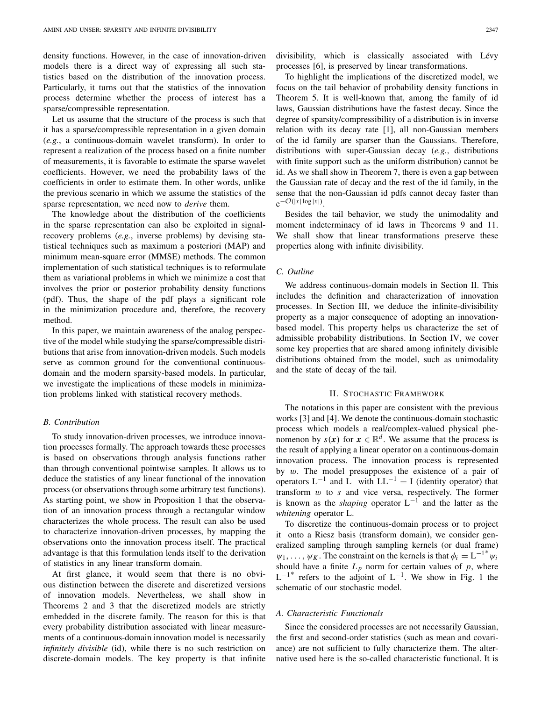density functions. However, in the case of innovation-driven models there is a direct way of expressing all such statistics based on the distribution of the innovation process. Particularly, it turns out that the statistics of the innovation process determine whether the process of interest has a sparse/compressible representation.

Let us assume that the structure of the process is such that it has a sparse/compressible representation in a given domain (*e.g.*, a continuous-domain wavelet transform). In order to represent a realization of the process based on a finite number of measurements, it is favorable to estimate the sparse wavelet coefficients. However, we need the probability laws of the coefficients in order to estimate them. In other words, unlike the previous scenario in which we assume the statistics of the sparse representation, we need now to *derive* them.

The knowledge about the distribution of the coefficients in the sparse representation can also be exploited in signalrecovery problems (*e.g.*, inverse problems) by devising statistical techniques such as maximum a posteriori (MAP) and minimum mean-square error (MMSE) methods. The common implementation of such statistical techniques is to reformulate them as variational problems in which we minimize a cost that involves the prior or posterior probability density functions (pdf). Thus, the shape of the pdf plays a significant role in the minimization procedure and, therefore, the recovery method.

In this paper, we maintain awareness of the analog perspective of the model while studying the sparse/compressible distributions that arise from innovation-driven models. Such models serve as common ground for the conventional continuousdomain and the modern sparsity-based models. In particular, we investigate the implications of these models in minimization problems linked with statistical recovery methods.

#### *B. Contribution*

To study innovation-driven processes, we introduce innovation processes formally. The approach towards these processes is based on observations through analysis functions rather than through conventional pointwise samples. It allows us to deduce the statistics of any linear functional of the innovation process (or observations through some arbitrary test functions). As starting point, we show in Proposition 1 that the observation of an innovation process through a rectangular window characterizes the whole process. The result can also be used to characterize innovation-driven processes, by mapping the observations onto the innovation process itself. The practical advantage is that this formulation lends itself to the derivation of statistics in any linear transform domain.

At first glance, it would seem that there is no obvious distinction between the discrete and discretized versions of innovation models. Nevertheless, we shall show in Theorems 2 and 3 that the discretized models are strictly embedded in the discrete family. The reason for this is that every probability distribution associated with linear measurements of a continuous-domain innovation model is necessarily *infinitely divisible* (id), while there is no such restriction on discrete-domain models. The key property is that infinite

divisibility, which is classically associated with Lévy processes [6], is preserved by linear transformations.

To highlight the implications of the discretized model, we focus on the tail behavior of probability density functions in Theorem 5. It is well-known that, among the family of id laws, Gaussian distributions have the fastest decay. Since the degree of sparsity/compressibility of a distribution is in inverse relation with its decay rate [1], all non-Gaussian members of the id family are sparser than the Gaussians. Therefore, distributions with super-Gaussian decay (*e.g.*, distributions with finite support such as the uniform distribution) cannot be id. As we shall show in Theorem 7, there is even a gap between the Gaussian rate of decay and the rest of the id family, in the sense that the non-Gaussian id pdfs cannot decay faster than  $e^{-\mathcal{O}(|x| \log |x|)}$ .

Besides the tail behavior, we study the unimodality and moment indeterminacy of id laws in Theorems 9 and 11. We shall show that linear transformations preserve these properties along with infinite divisibility.

## *C. Outline*

We address continuous-domain models in Section II. This includes the definition and characterization of innovation processes. In Section III, we deduce the infinite-divisibility property as a major consequence of adopting an innovationbased model. This property helps us characterize the set of admissible probability distributions. In Section IV, we cover some key properties that are shared among infinitely divisible distributions obtained from the model, such as unimodality and the state of decay of the tail.

#### II. STOCHASTIC FRAMEWORK

The notations in this paper are consistent with the previous works [3] and [4]. We denote the continuous-domain stochastic process which models a real/complex-valued physical phenomenon by  $s(x)$  for  $x \in \mathbb{R}^d$ . We assume that the process is the result of applying a linear operator on a continuous-domain innovation process. The innovation process is represented by w. The model presupposes the existence of a pair of operators  $L^{-1}$  and L with  $LL^{-1} = I$  (identity operator) that transform w to *s* and vice versa, respectively. The former is known as the *shaping* operator  $L^{-1}$  and the latter as the *whitening* operator L.

To discretize the continuous-domain process or to project it onto a Riesz basis (transform domain), we consider generalized sampling through sampling kernels (or dual frame)  $\psi_1, \ldots, \psi_K$ . The constraint on the kernels is that  $\phi_i = L^{-1*} \psi_i$ should have a finite  $L_p$  norm for certain values of  $p$ , where  $L^{-1*}$  refers to the adjoint of  $L^{-1}$ . We show in Fig. 1 the schematic of our stochastic model.

## *A. Characteristic Functionals*

Since the considered processes are not necessarily Gaussian, the first and second-order statistics (such as mean and covariance) are not sufficient to fully characterize them. The alternative used here is the so-called characteristic functional. It is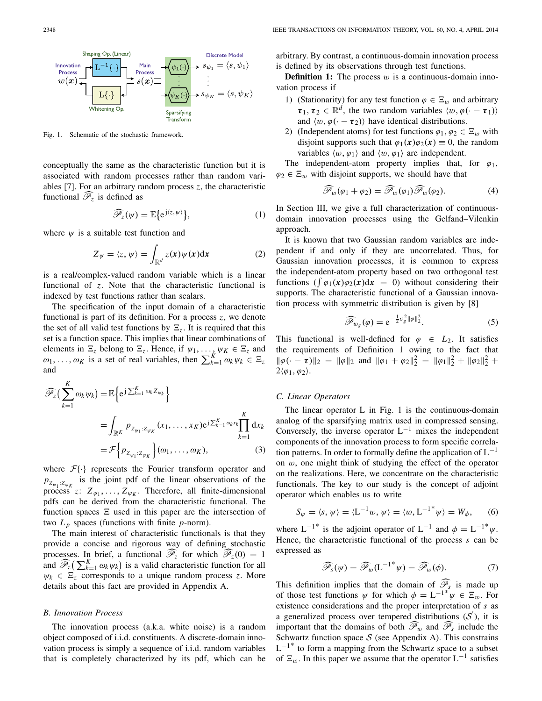

Fig. 1. Schematic of the stochastic framework.

conceptually the same as the characteristic function but it is associated with random processes rather than random variables [7]. For an arbitrary random process *z*, the characteristic conceptually the same as the<br>associated with random pr<br>ables [7]. For an arbitrary ra<br>functional  $\widehat{\mathcal{P}_z}$  is defined as

$$
\widehat{\mathscr{P}}_z(\psi) = \mathbb{E}\big\{e^{j\langle z,\psi\rangle}\big\},\tag{1}
$$

where  $\psi$  is a suitable test function and

$$
\widehat{\mathcal{P}}_z(\psi) = \mathbb{E}\{e^{j\langle z, \psi \rangle}\},\tag{1}
$$
\nsuitable test function and\n
$$
Z_{\psi} = \langle z, \psi \rangle = \int_{\mathbb{R}^d} z(\mathbf{x}) \psi(\mathbf{x}) d\mathbf{x}\tag{2}
$$

is a real/complex-valued random variable which is a linear functional of *z*. Note that the characteristic functional is indexed by test functions rather than scalars.

The specification of the input domain of a characteristic functional is part of its definition. For a process *z*, we denote the set of all valid test functions by  $\Xi_z$ . It is required that this set is a function space. This implies that linear combinations of elements in  $\Xi_z$  belong to  $\Xi_z$ . Hence, if  $\psi_1, \ldots, \psi_K \in \Xi_z$  and the set of all valid test functions by  $\Xi_z$ . It is required that this set is a function space. This implies that linear combinations of elements in  $\Xi_z$  belong to  $\Xi_z$ . Hence, if  $\psi_1, \dots, \psi_K \in \Xi_z$  and  $\omega_1, \dots, \omega_K$  is and  $\ddot{\phantom{0}}$  $\overline{\mathbf{1}}$ 

$$
\widehat{\mathscr{P}}_z \left( \sum_{k=1}^K \omega_k \psi_k \right) = \mathbb{E} \Big\{ e^{j \sum_{k=1}^K \omega_k Z_{\psi_k}} \Big\}
$$
  
\n
$$
= \int_{\mathbb{R}^K} P_{Z_{\psi_1} : Z_{\psi_K}} (x_1, \dots, x_K) e^{j \sum_{k=1}^K \omega_k x_k} \prod_{k=1}^K dx_k
$$
  
\n
$$
= \mathcal{F} \Big\{ P_{Z_{\psi_1} : Z_{\psi_K}} \Big\} (\omega_1, \dots, \omega_K), \tag{3}
$$

where  $\mathcal{F}\{\cdot\}$  represents the Fourier transform operator and  $p_{Z_{\psi_1}:Z_{\psi_K}}$  is the joint pdf of the linear observations of the process  $z: Z_{\psi_1}, \ldots, Z_{\psi_K}$ . Therefore, all finite-dimensional pdfs can be derived from the characteristic functional. The function spaces  $\Xi$  used in this paper are the intersection of two  $L_p$  spaces (functions with finite  $p$ -norm).

The main interest of characteristic functionals is that they provide a concise and rigorous way of defining stochastic processes. In brief, a functional  $\mathscr{P}_{z}$  for which  $\mathscr{P}_{z}(0) = 1$ The main interest of characteristic functionals is that they<br>provide a concise and rigorous way of defining stochastic<br>processes. In brief, a functional  $\hat{\mathcal{P}}_z$  for which  $\hat{\mathcal{P}}_z(0) = 1$ <br>and  $\hat{\mathcal{P}}_z(\sum_{k=1}^K \omega$  $\psi_k \in \Xi$ <sub>z</sub> corresponds to a unique random process *z*. More details about this fact are provided in Appendix A.

## *B. Innovation Process*

The innovation process (a.k.a. white noise) is a random object composed of i.i.d. constituents. A discrete-domain innovation process is simply a sequence of i.i.d. random variables that is completely characterized by its pdf, which can be arbitrary. By contrast, a continuous-domain innovation process is defined by its observations through test functions.

**Definition 1:** The process  $w$  is a continuous-domain innovation process if

- 1) (Stationarity) for any test function  $\varphi \in \Xi_w$  and arbitrary  $\tau_1, \tau_2 \in \mathbb{R}^d$ , the two random variables  $\langle w, \varphi(\cdot - \tau_1) \rangle$ and  $\langle w, \varphi(\cdot - \tau_2) \rangle$  have identical distributions.
- 2) (Independent atoms) for test functions  $\varphi_1, \varphi_2 \in \Xi_w$  with disjoint supports such that  $\varphi_1(x)\varphi_2(x) \equiv 0$ , the random variables  $\langle w, \varphi_1 \rangle$  and  $\langle w, \varphi_1 \rangle$  are independent.

The independent-atom property implies that, for  $\varphi_1$ ,  $\varphi_2 \in \Xi_w$  with disjoint supports, we should have that pendent-atom property imp<br> *A* isoint supports, we shour<br>  $\widehat{\mathcal{P}}_w(\varphi_1 + \varphi_2) = \widehat{\mathcal{P}}_w(\varphi_1) \widehat{\mathcal{P}}_w$ 

$$
\widehat{\mathscr{P}}_w(\varphi_1 + \varphi_2) = \widehat{\mathscr{P}}_w(\varphi_1) \widehat{\mathscr{P}}_w(\varphi_2). \tag{4}
$$

In Section III, we give a full characterization of continuousdomain innovation processes using the Gelfand–Vilenkin approach.

It is known that two Gaussian random variables are independent if and only if they are uncorrelated. Thus, for Gaussian innovation processes, it is common to express<br>the independent-atom property based on two orthogonal test<br>functions  $(\int \varphi_1(\mathbf{x})\varphi_2(\mathbf{x})d\mathbf{x} = 0)$  withou Gaussian innovation processes, it is common to express the independent-atom property based on two orthogonal test supports. The characteristic functional of a Gaussian innovation process with symmetric distribution is given by [8]

$$
\widehat{\mathscr{P}}_{w_g}(\varphi) = e^{-\frac{1}{2}\sigma_g^2 \|\varphi\|_2^2}.
$$
 (5)

This functional is well-defined for  $\varphi \in L_2$ . It satisfies the requirements of Definition 1 owing to the fact that  $\|\varphi(\cdot - \tau)\|_2 = \|\varphi\|_2$  and  $\|\varphi_1 + \varphi_2\|_2^2 = \|\varphi_1\|_2^2 + \|\varphi_2\|_2^2 +$  $2\langle \varphi_1, \varphi_2 \rangle$ .

#### *C. Linear Operators*

The linear operator L in Fig. 1 is the continuous-domain analog of the sparsifying matrix used in compressed sensing. Conversely, the inverse operator  $L^{-1}$  mixes the independent components of the innovation process to form specific correlation patterns. In order to formally define the application of  $L^{-1}$ on  $w$ , one might think of studying the effect of the operator on the realizations. Here, we concentrate on the characteristic functionals. The key to our study is the concept of adjoint operator which enables us to write

$$
S_{\psi} = \langle s, \psi \rangle = \langle L^{-1} w, \psi \rangle = \langle w, L^{-1^{*}} \psi \rangle = W_{\phi}, \qquad (6)
$$

where  $L^{-1*}$  is the adjoint operator of  $L^{-1}$  and  $\phi = L^{-1*}\psi$ . Hence, the characteristic functional of the process *s* can be expressed as

Expressed as

\n
$$
\widehat{\mathcal{P}}_s(\psi) = \widehat{\mathcal{P}}_w(L^{-1*}\psi) = \widehat{\mathcal{P}}_w(\phi).
$$
\nThis definition implies that the domain of  $\widehat{\mathcal{P}}_s$  is made up.

of those test functions  $\psi$  for which  $\phi = L^{-1} \psi \in \Xi_w$ . For existence considerations and the proper interpretation of *s* as a generalized process over tempered distributions  $(S')$ , it is important that the domains of both  $\mathcal{P}_{w}$  and  $\mathcal{P}_{s}$  include the Schwartz function space  $S$  (see Appendix A). This constrains  $L^{-1}$ <sup>\*</sup> to form a mapping from the Schwartz space to a subset of  $\Xi$ <sub>10</sub>. In this paper we assume that the operator L<sup>-1</sup> satisfies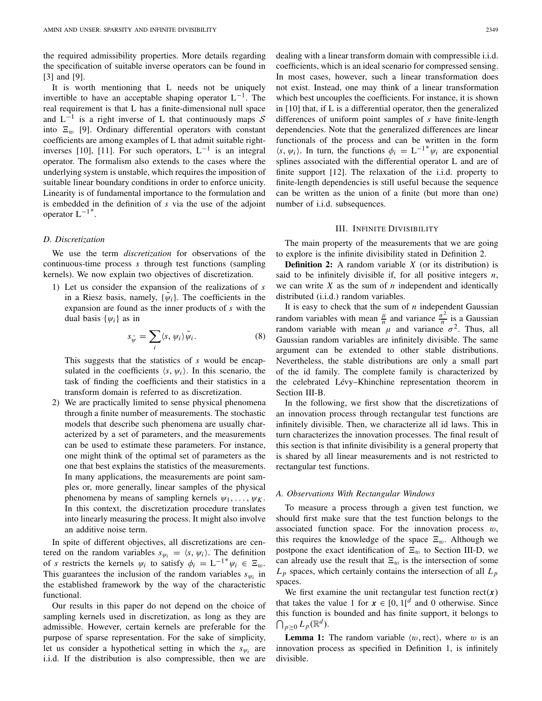the required admissibility properties. More details regarding the specification of suitable inverse operators can be found in [3] and [9].

It is worth mentioning that L needs not be uniquely invertible to have an acceptable shaping operator  $L^{-1}$ . The real requirement is that L has a finite-dimensional null space and  $L^{-1}$  is a right inverse of L that continuously maps  $S$ into  $\Xi_w$  [9]. Ordinary differential operators with constant coefficients are among examples of L that admit suitable rightinverses [10], [11]. For such operators,  $L^{-1}$  is an integral operator. The formalism also extends to the cases where the underlying system is unstable, which requires the imposition of suitable linear boundary conditions in order to enforce unicity. Linearity is of fundamental importance to the formulation and is embedded in the definition of *s* via the use of the adjoint operator  $L^{-1}$ <sup>\*</sup>.

#### *D. Discretization*

We use the term *discretization* for observations of the continuous-time process *s* through test functions (sampling kernels). We now explain two objectives of discretization.

1) Let us consider the expansion of the realizations of *s* in a Riesz basis, namely,  $\{\psi_i\}$ . The coefficients in the expansion are found as the inner products of *s* with the dual basis  $\{\psi_i\}$  as in namely,<br> *s* in<br>  $s_{\tilde{\psi}} = \sum$ 

$$
s_{\tilde{\psi}} = \sum_{i} \langle s, \psi_i \rangle \tilde{\psi}_i.
$$
 (8)

This suggests that the statistics of *s* would be encapsulated in the coefficients  $\langle s, \psi_i \rangle$ . In this scenario, the task of finding the coefficients and their statistics in a transform domain is referred to as discretization.

2) We are practically limited to sense physical phenomena through a finite number of measurements. The stochastic models that describe such phenomena are usually characterized by a set of parameters, and the measurements can be used to estimate these parameters. For instance, one might think of the optimal set of parameters as the one that best explains the statistics of the measurements. In many applications, the measurements are point samples or, more generally, linear samples of the physical phenomena by means of sampling kernels  $\psi_1, \ldots, \psi_K$ . In this context, the discretization procedure translates into linearly measuring the process. It might also involve an additive noise term.

In spite of different objectives, all discretizations are centered on the random variables  $s_{\psi_i} = \langle s, \psi_i \rangle$ . The definition of *s* restricts the kernels  $\psi_i$  to satisfy  $\phi_i = L^{-1} \psi_i \in \Xi_w$ . This guarantees the inclusion of the random variables  $s_{\psi_i}$  in the established framework by the way of the characteristic functional.

Our results in this paper do not depend on the choice of sampling kernels used in discretization, as long as they are admissible. However, certain kernels are preferable for the purpose of sparse representation. For the sake of simplicity, let us consider a hypothetical setting in which the  $s_{\psi_i}$  are i.i.d. If the distribution is also compressible, then we are

dealing with a linear transform domain with compressible i.i.d. coefficients, which is an ideal scenario for compressed sensing. In most cases, however, such a linear transformation does not exist. Instead, one may think of a linear transformation which best uncouples the coefficients. For instance, it is shown in [10] that, if L is a differential operator, then the generalized differences of uniform point samples of *s* have finite-length dependencies. Note that the generalized differences are linear functionals of the process and can be written in the form  $\langle s, \psi_i \rangle$ . In turn, the functions  $\phi_i = L^{-1} \psi_i$  are exponential splines associated with the differential operator L and are of finite support [12]. The relaxation of the i.i.d. property to finite-length dependencies is still useful because the sequence can be written as the union of a finite (but more than one) number of i.i.d. subsequences.

## III. INFINITE DIVISIBILITY

The main property of the measurements that we are going to explore is the infinite divisibility stated in Definition 2.

**Definition 2:** A random variable *X* (or its distribution) is said to be infinitely divisible if, for all positive integers *n*, we can write *X* as the sum of *n* independent and identically distributed (i.i.d.) random variables.

It is easy to check that the sum of *n* independent Gaussian random variables with mean  $\frac{\mu}{n}$  and variance  $\frac{\sigma^2}{n}$  is a Gaussian random variable with mean  $\mu$  and variance  $\sigma^2$ . Thus, all Gaussian random variables are infinitely divisible. The same argument can be extended to other stable distributions. Nevertheless, the stable distributions are only a small part of the id family. The complete family is characterized by the celebrated Lévy–Khinchine representation theorem in Section III-B.

In the following, we first show that the discretizations of an innovation process through rectangular test functions are infinitely divisible. Then, we characterize all id laws. This in turn characterizes the innovation processes. The final result of this section is that infinite divisibility is a general property that is shared by all linear measurements and is not restricted to rectangular test functions.

#### *A. Observations With Rectangular Windows*

To measure a process through a given test function, we should first make sure that the test function belongs to the associated function space. For the innovation process  $w$ , this requires the knowledge of the space  $\Xi_w$ . Although we postpone the exact identification of  $\Xi_w$  to Section III-D, we can already use the result that  $\Xi_w$  is the intersection of some  $L_p$  spaces, which certainly contains the intersection of all  $L_p$ spaces.

We first examine the unit rectangular test function  $rect(x)$ that takes the value 1 for  $x \in [0, 1]^d$  and 0 otherwise. Since this function is bounded and has finite support, it belongs to Ĵ,  $\bigcap_{p\geq 0} L_p(\mathbb{R}^d).$ 

**Lemma 1:** The random variable  $\langle w, \text{rect}\rangle$ , where w is an innovation process as specified in Definition 1, is infinitely divisible.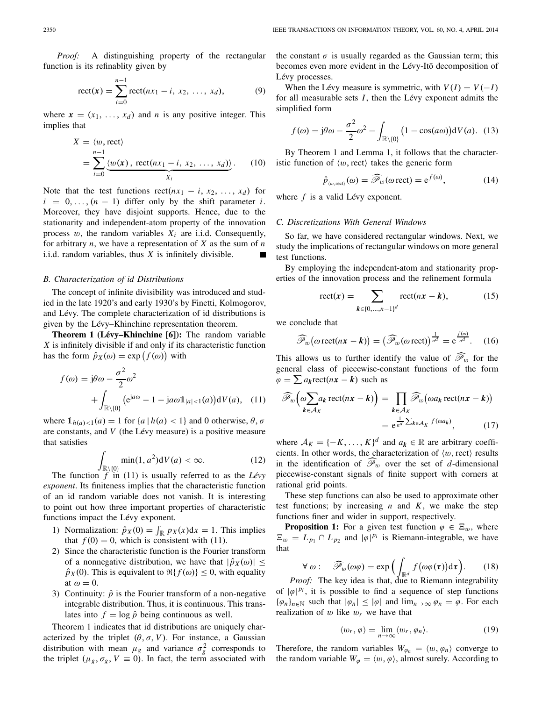*Proof:* A distinguishing property of the rectangular function is its refinablity given by  $\therefore$  A disting<br>s its refinablit<br>rect(*x*) =  $\sum$ 

rect(**x**) = 
$$
\sum_{i=0}^{n-1}
$$
rect( $nx_1 - i, x_2, ..., x_d$ ), (9)

where  $\mathbf{x} = (x_1, \ldots, x_d)$  and *n* is any positive integer. This implies that

that  
\n
$$
X = \langle w, \text{rect}\rangle
$$
\n
$$
= \sum_{i=0}^{n-1} \underbrace{\langle w(\mathbf{x}), \text{rect}(nx_1 - i, x_2, \dots, x_d) \rangle}_{X_i}.
$$
\n(10)

Note that the test functions  $rect(nx_1 - i, x_2, ..., x_d)$  for  $i = 0, \ldots, (n - 1)$  differ only by the shift parameter *i*. Moreover, they have disjoint supports. Hence, due to the stationarity and independent-atom property of the innovation process  $w$ , the random variables  $X_i$  are i.i.d. Consequently, for arbitrary *n*, we have a representation of *X* as the sum of *n* i.i.d. random variables, thus *X* is infinitely divisible.

#### *B. Characterization of id Distributions*

The concept of infinite divisibility was introduced and studied in the late 1920's and early 1930's by Finetti, Kolmogorov, and Lévy. The complete characterization of id distributions is given by the Lévy–Khinchine representation theorem.

**Theorem 1 (Lévy–Khinchine [6]):** The random variable *X* is infinitely divisible if and only if its characteristic function given by the Lévy-Khinchine represent<br> **Theorem 1 (Lévy-Khinchine [6]):**<br> *X* is infinitely divisible if and only if its<br>
has the form  $\hat{p}_X(\omega) = \exp(f(\omega))$  with **e** repr<br>**hine [**<br>*f* (ω))

$$
f(\omega) = j\theta\omega - \frac{\sigma^2}{2}\omega^2
$$
  
+ 
$$
\int_{\mathbb{R}\backslash\{0\}} (e^{j a \omega} - 1 - ja\omega 1_{|a| < 1}(a)) dV(a), \quad (11)
$$

where  $\mathbb{1}_{h(a) < 1}(a) = 1$  for  $\{a \mid h(a) < 1\}$  and 0 otherwise,  $\theta$ ,  $\sigma$ are constants, and *V* (the Lévy measure) is a positive measure that satisfies

$$
\int_{\mathbb{R}\setminus\{0\}} \min(1, a^2) \mathrm{d}V(a) < \infty. \tag{12}
$$

The function *f* in (11) is usually referred to as the *Lévy exponent*. Its finiteness implies that the characteristic function of an id random variable does not vanish. It is interesting to point out how three important properties of characteristic functions impact the Lévy exponent. an id random variable does<br>point out how three importanctions impact the Lévy export<br>1) Normalization:  $\hat{p}_X(0) = \int$ 

- 1) Normalization:  $\hat{p}_X(0) = \int_{\mathbb{R}} p_X(x) dx = 1$ . This implies that  $f(0) = 0$ , which is consistent with (11).
- 2) Since the characteristic function is the Fourier transform of a nonnegative distribution, we have that  $|\hat{p}_X(\omega)| \leq$  $\hat{p}_X(0)$ . This is equivalent to  $\Re\{f(\omega)\}\leq 0$ , with equality at  $\omega = 0$ .
- 3) Continuity:  $\hat{p}$  is the Fourier transform of a non-negative integrable distribution. Thus, it is continuous. This translates into  $f = \log \hat{p}$  being continuous as well.

Theorem 1 indicates that id distributions are uniquely characterized by the triplet  $(\theta, \sigma, V)$ . For instance, a Gaussian distribution with mean  $\mu_g$  and variance  $\sigma_g^2$  corresponds to the triplet ( $\mu_g$ ,  $\sigma_g$ ,  $V \equiv 0$ ). In fact, the term associated with the constant  $\sigma$  is usually regarded as the Gaussian term; this becomes even more evident in the Lévy-Itō decomposition of Lévy processes.

When the Lévy measure is symmetric, with  $V(I) = V(-I)$ for all measurable sets *I*, then the Lévy exponent admits the<br>
simplified form<br>  $f(\omega) = j\theta\omega - \frac{\sigma^2}{2}\omega^2 - \int (1 - \cos(a\omega))dV(a)$ . (13) simplified form

$$
f(\omega) = j\theta\omega - \frac{\sigma^2}{2}\omega^2 - \int_{\mathbb{R}\setminus\{0\}} \left(1 - \cos(a\omega)\right) dV(a). \tag{13}
$$

By Theorem 1 and Lemma 1, it follows that the characteristic function of  $\langle w, \text{rect} \rangle$  takes the generic form

$$
\hat{p}_{\langle w, \text{rect}\rangle}(\omega) = \widehat{\mathscr{P}}_w(\omega \text{ rect}) = e^{f(\omega)},\tag{14}
$$

where *f* is a valid Lévy exponent.

#### *C. Discretizations With General Windows*

So far, we have considered rectangular windows. Next, we study the implications of rectangular windows on more general test functions.

By employing the independent-atom and stationarity properties of the innovation process and the refinement formula is.<br>ying the independine<br>innovation process-<br>rect(x) =  $\sum$ 

$$
rect(x) = \sum_{k \in \{0, ..., n-1\}^d} rect(nx - k),
$$
 (15)

we conclude that

$$
k \in \{0, \dots, n-1\}^d
$$
  
include that  

$$
\widehat{\mathscr{P}}_w\big(\omega \operatorname{rect}(n\mathbf{x} - \mathbf{k})\big) = \big(\widehat{\mathscr{P}}_w(\omega \operatorname{rect})\big)^{\frac{1}{n^d}} = e^{\frac{f(\omega)}{n^d}}.
$$
 (16)

This allows us to further identify the value of  $\mathcal{P}_{w}$  for the This allows us to further identity the value of  $\mathcal{P}_w$  for the<br>general class of piecewise-constant functions of the form<br> $\varphi = \sum a_k \text{rect}(nx - k)$  such as<br> $\widehat{\mathcal{P}}_w(\omega \sum a_k \text{rect}(nx - k)) = \prod \widehat{\mathcal{P}}_w(\omega a_k \text{rect}(nx - k))$  $\mathcal{L}_{w}(\omega)$  rect(*n***x** − **k**) = { $\alpha$ <br>This allows us to further iden<br>general class of piecewise-co<br> $\varphi = \sum a_k \text{rect}(nx - k)$  such as allows us to further identify the value of  $\mathcal{P}_w$  for the same of the second constant functions of the form

$$
\widehat{\mathscr{P}}_w\left(\omega \sum_{k \in \mathcal{A}_K} a_k \operatorname{rect}(nx - k)\right) = \prod_{k \in \mathcal{A}_K} \widehat{\mathscr{P}}_w\left(\omega a_k \operatorname{rect}(nx - k)\right)
$$

$$
= e^{\frac{1}{n^d} \sum_{k \in \mathcal{A}_K} f(\omega a_k)},\tag{17}
$$

where  $A_K = \{-K, ..., K\}^d$  and  $a_k \in \mathbb{R}$  are arbitrary coefficients. In other words, the characterization of  $\langle w, \text{rect} \rangle$  results in the identification of  $\mathcal{P}_{w}$  over the set of *d*-dimensional piecewise-constant signals of finite support with corners at rational grid points.

These step functions can also be used to approximate other test functions; by increasing  $n$  and  $K$ , we make the step functions finer and wider in support, respectively.

**Proposition 1:** For a given test function  $\varphi \in \Xi_w$ , where  $E_w = L_{p_1} \cap L_{p_2}$  and  $|\varphi|^{p_i}$  is Riemann-integrable, we have that For a given test function  $\varphi$ <br>and  $|\varphi|^{p_i}$  is Riemann-integral<br> $\sum_{w} (\omega \varphi) = \exp \left( \int f(\omega \varphi(\tau)) \right)$ 

$$
\forall \omega : \widehat{\mathscr{P}}_w(\omega \varphi) = \exp\Big(\int_{\mathbb{R}^d} f\big(\omega \varphi(\tau)\big) d\tau\Big). \tag{18}
$$

*Proof:* The key idea is that, due to Riemann integrability of  $|\varphi|^{p_i}$ , it is possible to find a sequence of step functions  $\{\varphi_n\}_{n\in\mathbb{N}}$  such that  $|\varphi_n| \leq |\varphi|$  and  $\lim_{n\to\infty} \varphi_n = \varphi$ . For each realization of  $w$  like  $w_r$  we have that

$$
\langle w_r, \varphi \rangle = \lim_{n \to \infty} \langle w_r, \varphi_n \rangle. \tag{19}
$$

Therefore, the random variables  $W_{\varphi_n} = \langle w, \varphi_n \rangle$  converge to the random variable  $W_{\varphi} = \langle w, \varphi \rangle$ , almost surely. According to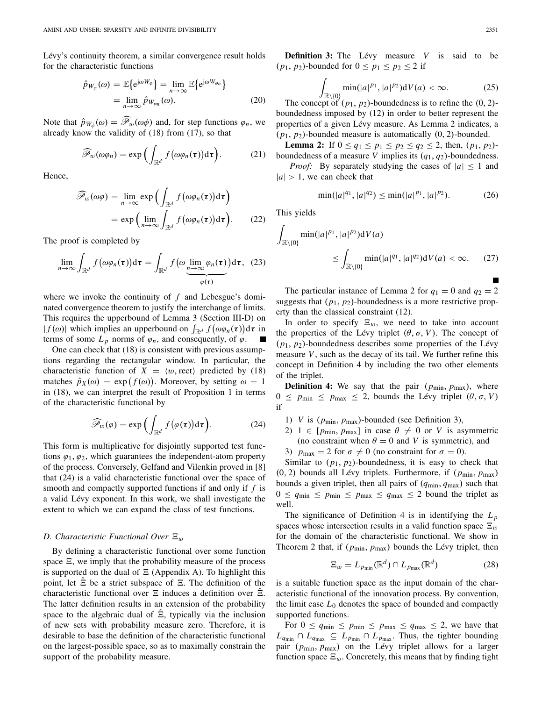Lévy's continuity theorem, a similar convergence result holds for the characteristic functions

$$
\hat{p}_{W_{\varphi}}(\omega) = \mathbb{E}\left\{e^{j\omega W_{\varphi}}\right\} = \lim_{n \to \infty} \mathbb{E}\left\{e^{j\omega W_{\varphi_n}}\right\}
$$
\n
$$
= \lim_{n \to \infty} \hat{p}_{W_{\varphi_n}}(\omega). \tag{20}
$$

Note that  $\hat{p}_{W_{\phi}}(\omega) = \mathscr{P}_{w}(\omega \phi)$  and, for step functions  $\varphi_n$ , we already know the validity of (18) from (17), so that  $w_{\phi}(\omega) = \widehat{\mathcal{P}}_w(\omega\phi)$  and, for step function (17), so the validity of (18) from (17), so the validity of (18) from (17), so the value of  $w(\omega\phi_n) = \exp\left(\int f(\omega\phi_n(\tau)) d\tau\right)$ 

$$
\widehat{\mathscr{P}}_w(\omega\varphi_n) = \exp\Big(\int_{\mathbb{R}^d} f\big(\omega\varphi_n(\tau)\big)\mathrm{d}\tau\Big). \tag{21}
$$

Hence,

$$
\mathscr{P}_{w}(\omega\varphi_{n}) = \exp\Big(\int_{\mathbb{R}^{d}} f(\omega\varphi_{n}(\tau))d\tau\Big).
$$
\n
$$
\widehat{\mathscr{P}}_{w}(\omega\varphi) = \lim_{n \to \infty} \exp\Big(\int_{\mathbb{R}^{d}} f(\omega\varphi_{n}(\tau))d\tau\Big)
$$
\n
$$
= \exp\Big(\lim_{n \to \infty} \int_{\mathbb{R}^{d}} f(\omega\varphi_{n}(\tau))d\tau\Big).
$$
\n(22)

The proof is completed by

$$
= \exp\left(\lim_{n\to\infty} \int_{\mathbb{R}^d} f(\omega\varphi_n(\tau)) d\tau\right). \tag{22}
$$
  
proof is completed by  

$$
\lim_{n\to\infty} \int_{\mathbb{R}^d} f(\omega\varphi_n(\tau)) d\tau = \int_{\mathbb{R}^d} f(\omega \underbrace{\lim_{n\to\infty} \varphi_n(\tau)}_{\varphi(\tau)}) d\tau, \tag{23}
$$

where we invoke the continuity of *f* and Lebesgue's dominated convergence theorem to justify the interchange of limits.<br>This requires the upperbound of Lemma 3 (Section III-D) on  $|f(\omega)|$  which implies an upperbound on  $\$ nated convergence theorem to justify the interchange of limits. This requires the upperbound of Lemma 3 (Section III-D) on  $\int_{\mathbb{R}^d} f\big(\omega \varphi_n(\boldsymbol{\tau})\big) \mathrm{d}\boldsymbol{\tau}$  in terms of some  $L_p$  norms of  $\varphi_n$ , and consequently, of  $\varphi$ .

One can check that (18) is consistent with previous assumptions regarding the rectangular window. In particular, the characteristic function of  $X = \langle w, \text{rect} \rangle$  predicted by (18) One can check that (18) is consistent that (18) is consistent to regarding the rectangul characteristic function of  $X$  is matches  $\hat{p}_X(\omega) = \exp(f(\omega))$ matches  $\hat{p}_X(\omega) = \exp(f(\omega))$ . Moreover, by setting  $\omega = 1$ in (18), we can interpret the result of Proposition 1 in terms of the characteristic functional by =  $\exp(f(\omega))$ <br>interpret the ristic functional<br> $\int_{w}(\varphi) = \exp(f)$ 

$$
\widehat{\mathscr{P}}_w(\varphi) = \exp\Big(\int_{\mathbb{R}^d} f(\varphi(\tau)) d\tau\Big). \tag{24}
$$

This form is multiplicative for disjointly supported test functions  $\varphi_1, \varphi_2$ , which guarantees the independent-atom property of the process. Conversely, Gelfand and Vilenkin proved in [8] that (24) is a valid characteristic functional over the space of smooth and compactly supported functions if and only if *f* is a valid Lévy exponent. In this work, we shall investigate the extent to which we can expand the class of test functions.

#### *D. Characteristic Functional Over*  $\Xi_w$

By defining a characteristic functional over some function space  $\Xi$ , we imply that the probability measure of the process is supported on the dual of  $\Xi$  (Appendix A). To highlight this point, let  $\hat{\Xi}$  be a strict subspace of  $\Xi$ . The definition of the characteristic functional over  $\Xi$  induces a definition over  $\hat{\Xi}$ . The latter definition results in an extension of the probability space to the algebraic dual of  $\hat{\Xi}$ , typically via the inclusion of new sets with probability measure zero. Therefore, it is desirable to base the definition of the characteristic functional on the largest-possible space, so as to maximally constrain the support of the probability measure.

**Definition 3:** The Lévy measure *V* is said to be  $(p_1, p_2)$ -bounded for  $0 \le p_1 \le p_2 \le 2$  if

$$
\int_{\mathbb{R}\setminus\{0\}} \min(|a|^{p_1}, |a|^{p_2}) \mathrm{d}V(a) < \infty. \tag{25}
$$

The concept of  $(p_1, p_2)$ -boundedness is to refine the  $(0, 2)$ boundedness imposed by (12) in order to better represent the properties of a given Lévy measure. As Lemma 2 indicates, a (*p*1, *p*2)-bounded measure is automatically (0, 2)-bounded.

**Lemma 2:** If  $0 \le q_1 \le p_1 \le p_2 \le q_2 \le 2$ , then,  $(p_1, p_2)$ boundedness of a measure *V* implies its  $(q_1, q_2)$ -boundedness.

*Proof:* By separately studying the cases of  $|a| \leq 1$  and  $|a| > 1$ , we can check that

$$
\min(|a|^{q_1}, |a|^{q_2}) \le \min(|a|^{p_1}, |a|^{p_2}).\tag{26}
$$

This yields

 $\cdot$ 

$$
\int_{\mathbb{R}\setminus\{0\}} \min(|a|^{p_1}, |a|^{p_2}) dV(a)
$$
\n
$$
\leq \int_{\mathbb{R}\setminus\{0\}} \min(|a|^{q_1}, |a|^{q_2}) dV(a) < \infty. \tag{27}
$$

The particular instance of Lemma 2 for  $q_1 = 0$  and  $q_2 = 2$ suggests that  $(p_1, p_2)$ -boundedness is a more restrictive property than the classical constraint (12).

In order to specify  $\Xi_w$ , we need to take into account the properties of the Lévy triplet  $(\theta, \sigma, V)$ . The concept of (*p*1, *p*2)-boundedness describes some properties of the Lévy measure  $V$ , such as the decay of its tail. We further refine this concept in Definition 4 by including the two other elements of the triplet.

**Definition 4:** We say that the pair  $(p_{\min}, p_{\max})$ , where  $0 \leq p_{\text{min}} \leq p_{\text{max}} \leq 2$ , bounds the Lévy triplet  $(\theta, \sigma, V)$ if

- 1) *V* is  $(p_{\text{min}}, p_{\text{max}})$ -bounded (see Definition 3),
- 2) 1  $\in$  [ $p_{\text{min}}$ ,  $p_{\text{max}}$ ] in case  $\theta \neq 0$  or *V* is asymmetric (no constraint when  $\theta = 0$  and *V* is symmetric), and
- 3)  $p_{\text{max}} = 2$  for  $\sigma \neq 0$  (no constraint for  $\sigma = 0$ ).

Similar to  $(p_1, p_2)$ -boundedness, it is easy to check that  $(0, 2)$  bounds all Lévy triplets. Furthermore, if  $(p_{\min}, p_{\max})$ bounds a given triplet, then all pairs of  $(q_{min}, q_{max})$  such that  $0 \leq q_{\text{min}} \leq p_{\text{min}} \leq p_{\text{max}} \leq q_{\text{max}} \leq 2$  bound the triplet as well.

The significance of Definition 4 is in identifying the  $L_p$ spaces whose intersection results in a valid function space  $\Xi_w$ for the domain of the characteristic functional. We show in Theorem 2 that, if  $(p_{min}, p_{max})$  bounds the Lévy triplet, then

$$
\Xi_w = L_{p_{\min}}(\mathbb{R}^d) \cap L_{p_{\max}}(\mathbb{R}^d)
$$
 (28)

is a suitable function space as the input domain of the characteristic functional of the innovation process. By convention, the limit case  $L_0$  denotes the space of bounded and compactly supported functions.

For  $0 \le q_{\min} \le p_{\min} \le p_{\max} \le q_{\max} \le 2$ , we have that  $L_{q_{\min}} \cap L_{q_{\max}} \subseteq L_{p_{\min}} \cap L_{p_{\max}}$ . Thus, the tighter bounding pair (*p*min, *p*max) on the Lévy triplet allows for a larger function space  $\Xi_w$ . Concretely, this means that by finding tight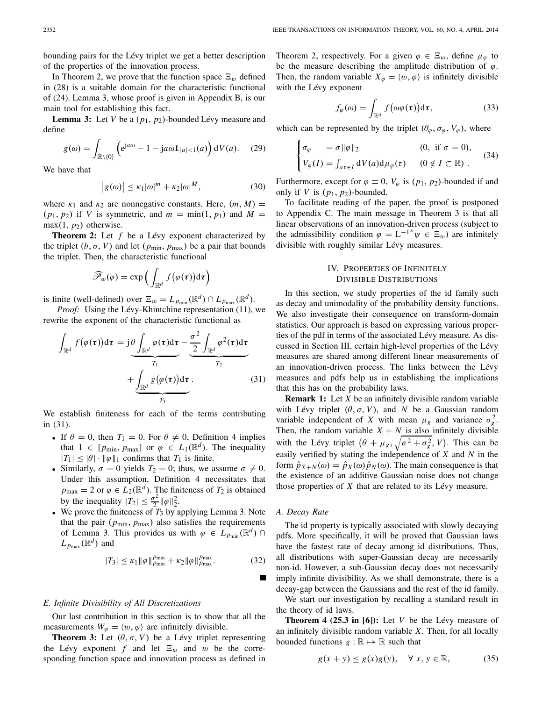bounding pairs for the Lévy triplet we get a better description of the properties of the innovation process.

In Theorem 2, we prove that the function space  $\Xi_w$  defined in (28) is a suitable domain for the characteristic functional of (24). Lemma 3, whose proof is given in Appendix B, is our main tool for establishing this fact.

**Lemma 3:** Let *V* be a (*p*1, *p*2)-bounded Lévy measure and define

$$
g(\omega) = \int_{\mathbb{R}\setminus\{0\}} \left( e^{ja\omega} - 1 - ja\omega 1_{|a| < 1}(a) \right) dV(a). \tag{29}
$$
\nhave that

\n
$$
|g(\omega)| \le \kappa_1 |\omega|^m + \kappa_2 |\omega|^M, \tag{30}
$$

We have that

$$
\left|g(\omega)\right| \leq \kappa_1 |\omega|^m + \kappa_2 |\omega|^M,\tag{30}
$$

where  $\kappa_1$  and  $\kappa_2$  are nonnegative constants. Here,  $(m, M)$  =  $(p_1, p_2)$  if *V* is symmetric, and  $m = \min(1, p_1)$  and  $M =$  $max(1, p_2)$  otherwise.

**Theorem 2:** Let *f* be a Lévy exponent characterized by the triplet  $(b, \sigma, V)$  and let  $(p_{\min}, p_{\max})$  be a pair that bounds the triplet. Then, the characteristic functional Let f be a Lévy exponent V) and let  $(p_{\min}, p_{\max})$  be <br>i, the characteristic function<br> $\sum_{w} (\varphi) = \exp \left( \int f(\varphi(\tau)) \right)$ 

$$
\widehat{\mathscr{P}}_w(\varphi) = \exp\Big(\int_{\mathbb{R}^d} f\big(\varphi(\tau)\big) d\tau\Big)
$$

is finite (well-defined) over  $\Xi_w = L_{p_{\text{min}}}(\mathbb{R}^d) \cap L_{p_{\text{max}}}(\mathbb{R}^d)$ .

*Proof:* Using the Lévy-Khintchine representation (11), we rewrite the exponent of the characteristic functional as

$$
\int_{\mathbb{R}^d} f(\varphi(\tau)) d\tau = j \frac{\theta \int_{\mathbb{R}^d} \varphi(\tau) d\tau}{r_1} - \frac{\frac{\sigma^2}{2} \int_{\mathbb{R}^d} \varphi^2(\tau) d\tau}{r_2} + \underbrace{\int_{\mathbb{R}^d} g(\varphi(\tau)) d\tau}_{r_3}.
$$
\n(31)

We establish finiteness for each of the terms contributing in (31).

- If  $\theta = 0$ , then  $T_1 = 0$ . For  $\theta \neq 0$ , Definition 4 implies that  $1 \in [p_{\min}, p_{\max}]$  or  $\varphi \in L_1(\mathbb{R}^d)$ . The inequality  $|T_1| \leq |\theta| \cdot \|\varphi\|_1$  confirms that  $T_1$  is finite.
- Similarly,  $\sigma = 0$  yields  $T_2 = 0$ ; thus, we assume  $\sigma \neq 0$ . Under this assumption, Definition 4 necessitates that  $p_{\text{max}} = 2$  or  $\varphi \in L_2(\mathbb{R}^d)$ . The finiteness of  $T_2$  is obtained by the inequality  $|T_2| \leq \frac{\sigma^2}{2} ||\varphi||_2^2$ .
- We prove the finiteness of  $T_3$  by applying Lemma 3. Note that the pair  $(p_{\text{min}}, p_{\text{max}})$  also satisfies the requirements of Lemma 3. This provides us with  $\varphi \in L_{p_{\text{min}}}(\mathbb{R}^d) \cap$  $L_{p_{\text{max}}}(\mathbb{R}^d)$  and

$$
|T_3| \le \kappa_1 \|\varphi\|_{p_{\min}}^{p_{\min}} + \kappa_2 \|\varphi\|_{p_{\max}}^{p_{\max}}.
$$
 (32)

#### *E. Infinite Divisibility of All Discretizations*

Our last contribution in this section is to show that all the measurements  $W_{\varphi} = \langle w, \varphi \rangle$  are infinitely divisible.

**Theorem 3:** Let  $(\theta, \sigma, V)$  be a Lévy triplet representing the Lévy exponent f and let  $\Xi_w$  and w be the corresponding function space and innovation process as defined in Theorem 2, respectively. For a given  $\varphi \in \Xi_w$ , define  $\mu_{\varphi}$  to be the measure describing the amplitude distribution of  $\varphi$ . Then, the random variable  $X_{\varphi} = \langle w, \varphi \rangle$  is infinitely divisible with the Lévy exponent

$$
f_{\varphi}(\omega) = \int_{\mathbb{R}^d} f(\omega \varphi(\tau)) d\tau, \qquad (33)
$$

which can be represented by the triplet 
$$
(\theta_{\varphi}, \sigma_{\varphi}, V_{\varphi})
$$
, where  
\n
$$
\begin{cases}\n\sigma_{\varphi} = \sigma \|\varphi\|_2 & (0, \text{ if } \sigma = 0), \\
V_{\varphi}(I) = \int_{a\tau \in I} dV(a) d\mu_{\varphi}(\tau) & (0 \notin I \subset \mathbb{R})\n\end{cases}
$$
\n(34)

Furthermore, except for  $\varphi \equiv 0$ ,  $V_{\varphi}$  is  $(p_1, p_2)$ -bounded if and only if *V* is  $(p_1, p_2)$ -bounded.

To facilitate reading of the paper, the proof is postponed to Appendix C. The main message in Theorem 3 is that all linear observations of an innovation-driven process (subject to the admissibility condition  $\varphi = L^{-1}^* \psi \in \Xi_w$ ) are infinitely divisible with roughly similar Lévy measures.

## IV. PROPERTIES OF INFINITELY DIVISIBLE DISTRIBUTIONS

In this section, we study properties of the id family such as decay and unimodality of the probability density functions. We also investigate their consequence on transform-domain statistics. Our approach is based on expressing various properties of the pdf in terms of the associated Lévy measure. As discussed in Section III, certain high-level properties of the Lévy measures are shared among different linear measurements of an innovation-driven process. The links between the Lévy measures and pdfs help us in establishing the implications that this has on the probability laws.

**Remark 1:** Let *X* be an infinitely divisible random variable with Lévy triplet  $(\theta, \sigma, V)$ , and *N* be a Gaussian random variable independent of *X* with mean  $\mu_g$  and variance  $\sigma_g^2$ . Then, the random variable  $X + N$  is also infinitely divisible with Lévy triplet  $(\theta, \sigma, V)$ , and N be a Gaussian random<br>variable independent of X with mean  $\mu_g$  and variance  $\sigma_g^2$ .<br>Then, the random variable  $X + N$  is also infinitely divisible<br>with the Lévy triplet  $(\theta + \mu_g, \sqrt{\sigma^2 + \sigma$ easily verified by stating the independence of *X* and *N* in the form  $\hat{p}_{X+N}(\omega) = \hat{p}_X(\omega)\hat{p}_N(\omega)$ . The main consequence is that the existence of an additive Gaussian noise does not change those properties of *X* that are related to its Lévy measure.

## *A. Decay Rate*

The id property is typically associated with slowly decaying pdfs. More specifically, it will be proved that Gaussian laws have the fastest rate of decay among id distributions. Thus, all distributions with super-Gaussian decay are necessarily non-id. However, a sub-Gaussian decay does not necessarily imply infinite divisibility. As we shall demonstrate, there is a decay-gap between the Gaussians and the rest of the id family.

We start our investigation by recalling a standard result in the theory of id laws.

**Theorem 4 (25.3 in [6]):** Let *V* be the Lévy measure of an infinitely divisible random variable *X*. Then, for all locally bounded functions  $g : \mathbb{R} \mapsto \mathbb{R}$  such that

$$
g(x + y) \le g(x)g(y), \quad \forall x, y \in \mathbb{R}, \tag{35}
$$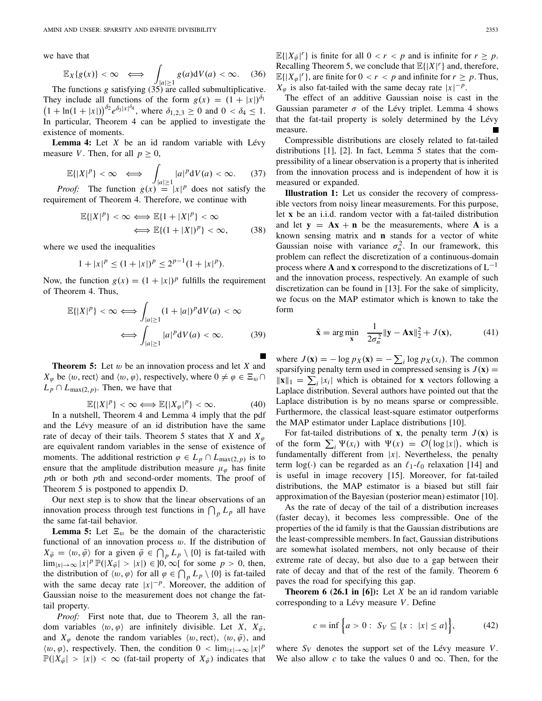we have that

The probability of the formula 
$$
\mathbb{E}_X\{g(x)\} < \infty \iff \int_{|a| \ge 1} g(a) \, \mathrm{d}V(a) < \infty.
$$
 (36)

The functions *g* satisfying (35) are called submultiplicative. They include all functions of the form  $g(x) = (1 + |x|)^{\delta_1}$  $(1 + \ln(1 + |x|))^{\delta_2} e^{\delta_3|x|^{\delta_4}}$ , where  $\delta_{1,2,3} \ge 0$  and  $0 < \delta_4 \le 1$ . In particular, Theorem 4 can be applied to investigate the existence of moments.

**Lemma 4:** Let *X* be an id random variable with Lévy measure *V*. Then, for all  $p \geq 0$ , moments.<br> **c**: Let *X* be an id<br>
Then, for all  $p \ge 0$ <br>  $p$   $\leftrightarrow$ 

$$
\mathbb{E}\{|X|^p\} < \infty \iff \int_{|a| \ge 1} |a|^p \mathrm{d}V(a) < \infty. \tag{37}
$$
  
*Proof:* The function  $g(x) = |x|^p$  does not satisfy the

requirement of Theorem 4. Therefore, we continue with

$$
\mathbb{E}\{|X|^p\} < \infty \iff \mathbb{E}\{1 + |X|^p\} < \infty
$$
\n
$$
\iff \mathbb{E}\{(1 + |X|)^p\} < \infty,\tag{38}
$$

where we used the inequalities

$$
1+|x|^p \le (1+|x|)^p \le 2^{p-1}(1+|x|^p).
$$

Now, the function  $g(x) = (1 + |x|)^p$  fulfills the requirement of Theorem 4. Thus, *<sup>p</sup>*} <sup>&</sup>lt; ∞ ⇐⇒

$$
\mathbb{E}\{|X|^p\} < \infty \Longleftrightarrow \int_{|a| \ge 1} (1+|a|)^p \mathrm{d}V(a) < \infty
$$
\n
$$
\Longleftrightarrow \int_{|a| \ge 1} |a|^p \mathrm{d}V(a) < \infty. \tag{39}
$$

**Theorem 5:** Let w be an innovation process and let *X* and  $X_{\varphi}$  be  $\langle w, \text{rect}\rangle$  and  $\langle w, \varphi \rangle$ , respectively, where  $0 \neq \varphi \in \Xi_w \cap \Xi$  $L_p \cap L_{\max(2,p)}$ . Then, we have that

$$
\mathbb{E}\{|X|^p\} < \infty \Longleftrightarrow \mathbb{E}\{|X_\varphi|^p\} < \infty. \tag{40}
$$

In a nutshell, Theorem 4 and Lemma 4 imply that the pdf and the Lévy measure of an id distribution have the same rate of decay of their tails. Theorem 5 states that *X* and  $X_{\varphi}$ are equivalent random variables in the sense of existence of moments. The additional restriction  $\varphi \in L_p \cap L_{\max(2,p)}$  is to ensure that the amplitude distribution measure  $\mu_{\varphi}$  has finite *p*th or both *p*th and second-order moments. The proof of Theorem 5 is postponed to appendix D. pth or both pth and second-order moments. The proof of<br>Theorem 5 is postponed to appendix D.<br>Our next step is to show that the linear observations of an<br>innovation process through test functions in  $\bigcap_p L_p$  all have

Our next step is to show that the linear observations of an the same fat-tail behavior.

**Lemma 5:** Let  $\Xi_w$  be the domain of the characteristic functional of an innovation process  $w$ . If the distribution of **Lemma 5:** Let  $\Xi_w$  be the domain of the characteristic functional of an innovation process w. If the distribution of  $X_{\bar{\varphi}} = \langle w, \bar{\varphi} \rangle$  for a given  $\bar{\varphi} \in \bigcap_p L_p \setminus \{0\}$  is fat-tailed with  $\lim_{|x| \to \infty} |x|^p \mathbb{P}(|X_{\bar{\varphi}}| > |x|) \in ]0, \infty[$  for some  $p > 0$ , then, functional of an innovation process  $w$ .<br>  $X_{\bar{\varphi}} = \langle w, \bar{\varphi} \rangle$  for a given  $\bar{\varphi} \in \bigcap_p L_p \setminus \lim_{|x| \to \infty} |x|^p \mathbb{P}(|X_{\bar{\varphi}}| > |x|) \in ]0, \infty[$  f<br>
the distribution of  $\langle w, \varphi \rangle$  for all  $\varphi \in \bigcap$ the distribution of  $\langle w, \varphi \rangle$  for all  $\varphi \in \bigcap_{p} L_p \setminus \{0\}$  is fat-tailed with the same decay rate  $|x|^{-p}$ . Moreover, the addition of Gaussian noise to the measurement does not change the fattail property.

*Proof:* First note that, due to Theorem 3, all the random variables  $\langle w, \varphi \rangle$  are infinitely divisible. Let *X*,  $X_{\bar{\varphi}}$ , and  $X_{\varphi}$  denote the random variables  $\langle w, \text{rect}\rangle$ ,  $\langle w, \bar{\varphi} \rangle$ , and  $\langle w, \varphi \rangle$ , respectively. Then, the condition  $0 < \lim_{|x| \to \infty} |x|^p$  $\mathbb{P}(|X_{\bar{\varphi}}| > |x|) < \infty$  (fat-tail property of  $X_{\bar{\varphi}}$ ) indicates that  $\mathbb{E}\{|X_{\bar{\varphi}}|^r\}$  is finite for all  $0 < r < p$  and is infinite for  $r \geq p$ . Recalling Theorem 5, we conclude that  $\mathbb{E}\{|X|^r\}$  and, therefore,  $\mathbb{E}\{|X_{\varphi}|^r\}$ , are finite for  $0 < r < p$  and infinite for  $r \geq p$ . Thus,  $X_{\varphi}$  is also fat-tailed with the same decay rate  $|x|^{-p}$ .

The effect of an additive Gaussian noise is cast in the Gaussian parameter  $\sigma$  of the Lévy triplet. Lemma 4 shows that the fat-tail property is solely determined by the Lévy measure.

Compressible distributions are closely related to fat-tailed distributions [1], [2]. In fact, Lemma 5 states that the compressibility of a linear observation is a property that is inherited from the innovation process and is independent of how it is measured or expanded.

**Illustration 1:** Let us consider the recovery of compressible vectors from noisy linear measurements. For this purpose, let **x** be an i.i.d. random vector with a fat-tailed distribution and let  $y = Ax + n$  be the measurements, where A is a known sensing matrix and **n** stands for a vector of white Gaussian noise with variance  $\sigma_n^2$ . In our framework, this problem can reflect the discretization of a continuous-domain process where **A** and **x** correspond to the discretizations of  $L^{-1}$ and the innovation process, respectively. An example of such discretization can be found in [13]. For the sake of simplicity, we focus on the MAP estimator which is known to take the form

$$
\hat{\mathbf{x}} = \arg\min_{\mathbf{x}} \frac{1}{2\sigma_n^2} \|\mathbf{y} - \mathbf{A}\mathbf{x}\|_2^2 + J(\mathbf{x}), \quad (41)
$$
  
where  $J(\mathbf{x}) = -\log px(\mathbf{x}) = -\sum_i \log px(x_i)$ . The common

sparsifying penalty term used in compressed sensing is  $J(\mathbf{x}) =$ where  $J(\mathbf{x})$ <br>sparsifying<br> $\|\mathbf{x}\|_1 = \sum$  $\|\mathbf{x}\|_1 = \sum_i |x_i|$  which is obtained for **x** vectors following a Laplace distribution. Several authors have pointed out that the Laplace distribution is by no means sparse or compressible. Furthermore, the classical least-square estimator outperforms the MAP estimator under Laplace distributions [10].

For fat-tailed distributions of **x**, the penalty term  $J(\mathbf{x})$  is Furthermore, the classical least-square estimator outperforms<br>the MAP estimator under Laplace distributions [10].<br>For fat-tailed distributions of **x**, the penalty term  $J(\mathbf{x})$  is<br>of the form  $\sum_i \Psi(x_i)$  with  $\Psi(x) = \mathcal{O}(\$ fundamentally different from |*x*|. Nevertheless, the penalty term  $log(.)$  can be regarded as an  $\ell_1-\ell_0$  relaxation [14] and is useful in image recovery [15]. Moreover, for fat-tailed distributions, the MAP estimator is a biased but still fair approximation of the Bayesian (posterior mean) estimator [10].

As the rate of decay of the tail of a distribution increases (faster decay), it becomes less compressible. One of the properties of the id family is that the Gaussian distributions are the least-compressible members. In fact, Gaussian distributions are somewhat isolated members, not only because of their extreme rate of decay, but also due to a gap between their rate of decay and that of the rest of the family. Theorem 6 paves the road for specifying this gap.

**Theorem 6 (26.1 in [6]):** Let *X* be an id random variable<br>
rresponding to a Lévy measure *V*. Define<br>  $c = \inf \{a > 0 : S_V \subseteq \{x : |x| \le a\} \},$  (42) corresponding to a Lévy measure *V*. Define

$$
c = \inf \Big\{ a > 0 : \ S_V \subseteq \{ x : \ |x| \le a \} \Big\},\tag{42}
$$

where  $S_V$  denotes the support set of the Lévy measure *V*. We also allow  $c$  to take the values 0 and  $\infty$ . Then, for the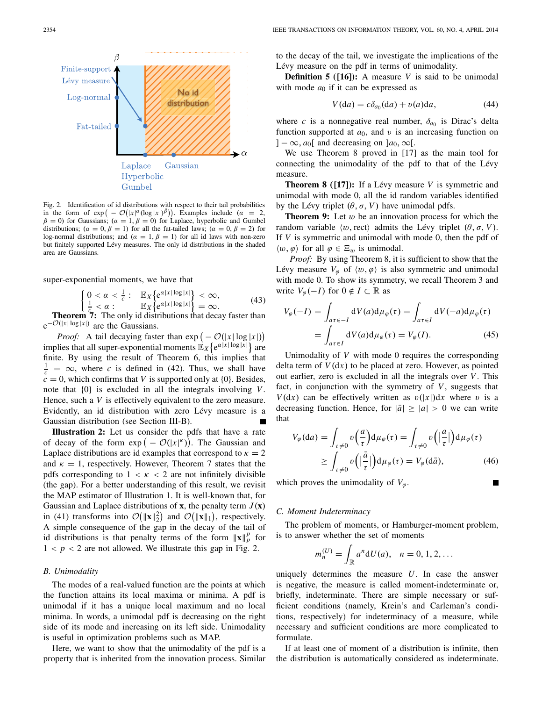

Fig. 2. Identification of id distributions with respect to their tail probabilities Gumbel<br>Fig. 2. Identification of id distributions with respect to their tail probabilities<br>in the form of  $\exp(-\mathcal{O}(|x|^\alpha(\log|x|)^\beta))$ . Examples include ( $\alpha = 2$ ,  $\beta = 0$ ) for Gaussians; ( $\alpha = 1, \beta = 0$ ) for Laplace, hyperbolic and Gumbel distributions; ( $\alpha = 0, \beta = 1$ ) for all the fat-tailed laws; ( $\alpha = 0, \beta = 2$ ) for log-normal distributions; and ( $\alpha = 1, \beta = 1$ ) for all id laws with non-zero but finitely supported Lévy measures. The only id distributions in the shaded area are Gaussians.

super-exponential moments, we have that

$$
\begin{array}{ll}\n0 < \alpha < \frac{1}{c} : & \mathbb{E}_X \{ e^{\alpha |x| \log |x|} \} < \infty, \\
\frac{1}{c} < \alpha : & \mathbb{E}_X \{ e^{\alpha |x| \log |x|} \} = \infty. \\
\frac{1}{c} < \mathbb{E}_X \{ e^{\alpha |x| \log |x|} \} = \infty.\n\end{array} \tag{43}
$$

**Theorem 7:** The only id distributions that decay faster than  $e^{-O(|x| \log |x|)}$  are the Gaussians. **Proof:** A tail decaying faster than exp ( $P[162]$ )<br>Proof: A tail decaying faster than exp ( $P[162]$ ) se.<br>Iecav faster t

− *O*(|*x*| log |*x*|) implies that all super-exponential moments  $\mathbb{E}_{X} \{e^{\alpha|x| \log |\bar{x}|}\}$  are finite. By using the result of Theorem 6, this implies that  $\frac{1}{c} = \infty$ , where *c* is defined in (42). Thus, we shall have  $\vec{c} = 0$ , which confirms that *V* is supported only at {0}. Besides, note that {0} is excluded in all the integrals involving *V*. Hence, such a *V* is effectively equivalent to the zero measure. Evidently, an id distribution with zero Lévy measure is a Gaussian distribution (see Section III-B). Evidently, an id distribution with zero Lévy measure is a<br>Gaussian distribution (see Section III-B).<br>**Illustration 2:** Let us consider the pdfs that have a rate<br>of decay of the form  $\exp(-\mathcal{O}(|x|^{\kappa}))$ . The Gaussian and

**Illustration 2:** Let us consider the pdfs that have a rate Laplace distributions are id examples that correspond to  $\kappa = 2$ and  $\kappa = 1$ , respectively. However, Theorem 7 states that the pdfs corresponding to  $1 < \kappa < 2$  are not infinitely divisible (the gap). For a better understanding of this result, we revisit the MAP estimator of Illustration 1. It is well-known that, for Gaussian and Laplace distributions of  $\mathbf{x}$ , the penalty term  $J(\mathbf{x})$ (the gap). For a better understanding of the MAP estimator of Illustration 1. It is v Gaussian and Laplace distributions of **x**, then (41) transforms into  $\mathcal{O}(\|\mathbf{x}\|_2^2)$  and  $\mathcal{O}(\|\mathbf{x}\|_2^2)$  $\|\mathbf{x}\|_2^2$  and  $\mathcal{O}(\|\mathbf{x}\|_1)$ , respectively. A simple consequence of the gap in the decay of the tail of id distributions is that penalty terms of the form  $\|\mathbf{x}\|_p^p$  for  $1 < p < 2$  are not allowed. We illustrate this gap in Fig. 2.

### *B. Unimodality*

The modes of a real-valued function are the points at which the function attains its local maxima or minima. A pdf is unimodal if it has a unique local maximum and no local minima. In words, a unimodal pdf is decreasing on the right side of its mode and increasing on its left side. Unimodality is useful in optimization problems such as MAP.

Here, we want to show that the unimodality of the pdf is a property that is inherited from the innovation process. Similar to the decay of the tail, we investigate the implications of the Lévy measure on the pdf in terms of unimodality.

**Definition 5 ([16]):** A measure *V* is said to be unimodal with mode  $a_0$  if it can be expressed as

$$
V(da) = c\delta_{a_0}(da) + v(a)da,\tag{44}
$$

where *c* is a nonnegative real number,  $\delta_{a_0}$  is Dirac's delta function supported at  $a_0$ , and v is an increasing function on  $]-\infty$ , *a*<sub>0</sub>[ and decreasing on ]*a*<sub>0</sub>,  $\infty$ [.

We use Theorem 8 proved in [17] as the main tool for connecting the unimodality of the pdf to that of the Lévy measure.

**Theorem 8 ([17]):** If a Lévy measure *V* is symmetric and unimodal with mode 0, all the id random variables identified by the Lévy triplet  $(\theta, \sigma, V)$  have unimodal pdfs.

**Theorem 9:** Let w be an innovation process for which the random variable  $\langle w, \text{rect} \rangle$  admits the Lévy triplet  $(\theta, \sigma, V)$ . If *V* is symmetric and unimodal with mode 0, then the pdf of  $\langle w, \varphi \rangle$  for all  $\varphi \in \Xi_w$  is unimodal.

*Proof:* By using Theorem 8, it is sufficient to show that the Lévy measure  $V_{\varphi}$  of  $\langle w, \varphi \rangle$  is also symmetric and unimodal with mode 0. To show its symmetry, we recall Theorem 3 and write  $V_{\varphi}(-I)$  for  $0 \notin I \subset \mathbb{R}$  as

$$
V_{\varphi}(-I) = \int_{a\tau \in -I} dV(a) d\mu_{\varphi}(\tau) = \int_{a\tau \in I} dV(-a) d\mu_{\varphi}(\tau)
$$

$$
= \int_{a\tau \in I} dV(a) d\mu_{\varphi}(\tau) = V_{\varphi}(I). \tag{45}
$$

Unimodality of *V* with mode 0 requires the corresponding delta term of  $V(dx)$  to be placed at zero. However, as pointed out earlier, zero is excluded in all the integrals over *V* . This fact, in conjunction with the symmetry of  $V$ , suggests that *V*(d*x*) can be effectively written as  $v(|x|)dx$  where v is a decreasing function. Hence, for  $|\bar{a}| \geq |a| > 0$  we can write that  $\frac{1}{2}$ 

$$
V_{\varphi}(\mathrm{d}a) = \int_{\tau \neq 0} v\left(\frac{a}{\tau}\right) \mathrm{d}\mu_{\varphi}(\tau) = \int_{\tau \neq 0} v\left(\left|\frac{a}{\tau}\right|\right) \mathrm{d}\mu_{\varphi}(\tau)
$$

$$
\geq \int_{\tau \neq 0} v\left(\left|\frac{\bar{a}}{\tau}\right|\right) \mathrm{d}\mu_{\varphi}(\tau) = V_{\varphi}(\mathrm{d}\bar{a}),\tag{46}
$$

which proves the unimodality of  $V_{\varphi}$ .

# *C. Moment Indeterminacy*

The problem of moments, or Hamburger-moment problem, is to answer whether the set of moments

$$
m_n^{(U)} = \int_{\mathbb{R}} a^n dU(a), \quad n = 0, 1, 2, ...
$$

uniquely determines the measure *U*. In case the answer is negative, the measure is called moment-indeterminate or, briefly, indeterminate. There are simple necessary or sufficient conditions (namely, Krein's and Carleman's conditions, respectively) for indeterminacy of a measure, while necessary and sufficient conditions are more complicated to formulate.

If at least one of moment of a distribution is infinite, then the distribution is automatically considered as indeterminate.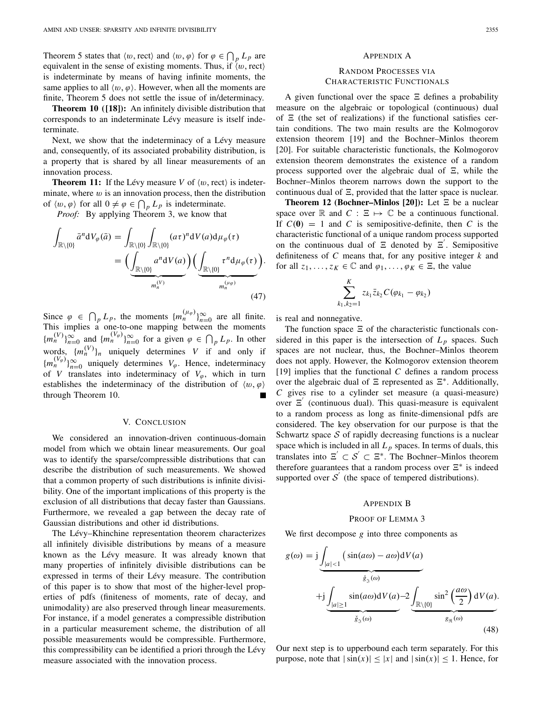AMINI AND UNSER: SPARSITY AND INFINITE DIVISIBILITY<br>Theorem 5 states that  $\langle w, \text{rect} \rangle$  and  $\langle w, \varphi \rangle$  for  $\varphi \in \bigcap_p L_p$  are equivalent in the sense of existing moments. Thus, if  $\langle w, \text{rect} \rangle$ is indeterminate by means of having infinite moments, the same applies to all  $\langle w, \varphi \rangle$ . However, when all the moments are finite, Theorem 5 does not settle the issue of in/determinacy.

**Theorem 10 ([18]):** An infinitely divisible distribution that corresponds to an indeterminate Lévy measure is itself indeterminate.

Next, we show that the indeterminacy of a Lévy measure and, consequently, of its associated probability distribution, is a property that is shared by all linear measurements of an innovation process.

**Theorem 11:** If the Lévy measure *V* of  $\langle w, \text{rect} \rangle$  is indeterminate, where  $w$  is an innovation process, then the distribution innovation process.<br> **Theorem 11:** If the Lévy measure V of  $\langle w, \text{rect} \rangle$ <br>
minate, where w is an innovation process, then the of  $\langle w, \varphi \rangle$  for all  $0 \neq \varphi \in \bigcap_p L_p$  is indeterminate.

*Proof:* By applying Theorem 3, we know that

$$
\int_{\mathbb{R}\setminus\{0\}} \bar{a}^n dV_{\varphi}(\bar{a}) = \int_{\mathbb{R}\setminus\{0\}} \int_{\mathbb{R}\setminus\{0\}} (a\tau)^n dV(a) d\mu_{\varphi}(\tau)
$$
\n
$$
= \Biggl( \underbrace{\int_{\mathbb{R}\setminus\{0\}} a^n dV(a)}_{m_n^{(V)}} \Biggr) \Biggl( \underbrace{\int_{\mathbb{R}\setminus\{0\}} \tau^n d\mu_{\varphi}(\tau)}_{m_n^{(\mu_{\varphi})}} \Biggr). \tag{47}
$$
\nSince  $\varphi \in \bigcap_p L_p$ , the moments  $\{m_n^{(\mu_{\varphi})}\}_{n=0}^{\infty}$  are all finite.

This implies a one-to-one mapping between the moments  ${m_n^{(V)}}_{n=0}^{\infty}$  and  ${m_n^{(V_\varphi)}}_{n=0}^{\infty}$  for a given  $\varphi \in \bigcap_{p} L_p$ . In other e moments  $\{m_n^{(\mu_\varphi)}\}_{n=0}^{\infty}$ <br>-one mapping between<br> $\underset{n=0}{\infty}$  for a given  $\varphi \in \bigcap$ words,  $\{m_n^{(V)}\}_n$  uniquely determines *V* if and only if  ${m_n^{(V_\varphi)}}_{n=0}^{\infty}$  uniquely determines  $V_\varphi$ . Hence, indeterminacy of *V* translates into indeterminacy of  $V_{\varphi}$ , which in turn establishes the indeterminacy of the distribution of  $\langle w, \varphi \rangle$ through Theorem 10.

## V. CONCLUSION

We considered an innovation-driven continuous-domain model from which we obtain linear measurements. Our goal was to identify the sparse/compressible distributions that can describe the distribution of such measurements. We showed that a common property of such distributions is infinite divisibility. One of the important implications of this property is the exclusion of all distributions that decay faster than Gaussians. Furthermore, we revealed a gap between the decay rate of Gaussian distributions and other id distributions.

The Lévy–Khinchine representation theorem characterizes all infinitely divisible distributions by means of a measure known as the Lévy measure. It was already known that many properties of infinitely divisible distributions can be expressed in terms of their Lévy measure. The contribution of this paper is to show that most of the higher-level properties of pdfs (finiteness of moments, rate of decay, and unimodality) are also preserved through linear measurements. For instance, if a model generates a compressible distribution in a particular measurement scheme, the distribution of all possible measurements would be compressible. Furthermore, this compressibility can be identified a priori through the Lévy measure associated with the innovation process.

#### APPENDIX A

## RANDOM PROCESSES VIA CHARACTERISTIC FUNCTIONALS

A given functional over the space  $\Xi$  defines a probability measure on the algebraic or topological (continuous) dual of  $\Xi$  (the set of realizations) if the functional satisfies certain conditions. The two main results are the Kolmogorov extension theorem [19] and the Bochner–Minlos theorem [20]. For suitable characteristic functionals, the Kolmogorov extension theorem demonstrates the existence of a random process supported over the algebraic dual of  $\Xi$ , while the Bochner–Minlos theorem narrows down the support to the continuous dual of  $\Xi$ , provided that the latter space is nuclear.

**Theorem 12 (Bochner–Minlos [20]):** Let  $\Xi$  be a nuclear space over  $\mathbb R$  and  $C : \Xi \mapsto \mathbb C$  be a continuous functional. If  $C(0) = 1$  and *C* is semipositive-definite, then *C* is the characteristic functional of a unique random process supported on the continuous dual of  $\Xi$  denoted by  $\Xi'$ . Semipositive definiteness of *C* means that, for any positive integer *k* and for all  $z_1, \ldots, z_K \in \mathbb{C}$  and  $\varphi_1, \ldots, \varphi_K \in \Xi$ , the value

$$
\sum_{k_1,k_2=1}^K z_{k_1} \bar{z}_{k_2} C(\varphi_{k_1} - \varphi_{k_2})
$$

is real and nonnegative.

The function space  $\Xi$  of the characteristic functionals considered in this paper is the intersection of  $L_p$  spaces. Such spaces are not nuclear, thus, the Bochner–Minlos theorem does not apply. However, the Kolmogorov extension theorem [19] implies that the functional *C* defines a random process over the algebraic dual of  $\Xi$  represented as  $\Xi^*$ . Additionally, *C* gives rise to a cylinder set measure (a quasi-measure) over  $E'$  (continuous dual). This quasi-measure is equivalent to a random process as long as finite-dimensional pdfs are considered. The key observation for our purpose is that the Schwartz space *S* of rapidly decreasing functions is a nuclear space which is included in all  $L_p$  spaces. In terms of duals, this translates into  $\Xi' \subset S' \subset \Xi^*$ . The Bochner–Minlos theorem therefore guarantees that a random process over  $\Xi^*$  is indeed supported over  $S'$  (the space of tempered distributions).

#### APPENDIX B

# PROOF OF LEMMA 3

We first decompose *g* into three components as

$$
g(\omega) = j \underbrace{\int_{|a| < 1} (\sin(a\omega) - a\omega) dV(a)}_{\hat{g}_3(\omega)}
$$
\n
$$
+ j \underbrace{\int_{|a| \ge 1} \sin(a\omega) dV(a) - 2 \underbrace{\int_{\mathbb{R} \setminus \{0\}} \sin^2 \left(\frac{a\omega}{2}\right) dV(a)}_{\hat{g}_3(\omega)}.
$$
\n(48)

Our next step is to upperbound each term separately. For this purpose, note that  $|\sin(x)| \le |x|$  and  $|\sin(x)| \le 1$ . Hence, for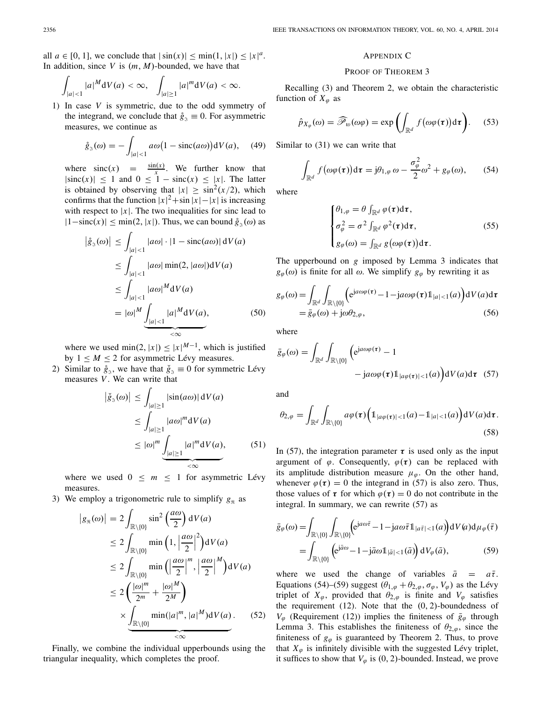all  $a \in [0, 1]$ , we conclude that  $|\sin(x)| \le \min(1, |x|) \le |x|^a$ . In addition, since *V* is (*m*, *M*)-bounded, we have that

$$
\int_{|a|<1}|a|^M\mathrm{d}V(a)<\infty,\quad\int_{|a|\geq1}|a|^m\mathrm{d}V(a)<\infty.
$$

1) In case *V* is symmetric, due to the odd symmetry of the integrand, we conclude that  $\hat{g}_3 \equiv 0$ . For asymmetric measures, we continue as *g*  $\alpha$  is symmetric, due to the odd tegrand, we conclude that  $\dot{g}_3 \equiv 0$ . Fore, we continue as  $\dot{g}_3(\omega) = -\int a\omega(1 - \text{sinc}(a\omega))$ 

$$
\mathring{g}_3(\omega) = -\int_{|a|<1} a\omega \big(1 - \mathrm{sinc}(a\omega)\big) \mathrm{d}V(a), \quad (49)
$$

where  $\operatorname{sinc}(x) = \frac{\sin(x)}{x}$ . We further know that  $|\text{sinc}(x)| \leq 1$  and  $0 \leq 1 - \text{sinc}(x) \leq |x|$ . The latter is obtained by observing that  $|x| \ge \sin^2(x/2)$ , which confirms that the function  $|x|^2 + \sin|x| - |x|$  is increasing with respect to |*x*|. The two inequalities for sinc lead to  $|1-\text{sinc}(x)| \le \min(2, |x|)$ . Thus, we can bound  $\hat{g}_3(\omega)$  as  $|\hat{g}_3(\omega)| \le \int |a\omega| \cdot |1 - \text{sinc}(a\omega)| dV(a)$  $|1-\text{sinc}(x)| \le \min(2, |x|)$ . Thus, we can bound  $\hat{g}_3(\omega)$  as

$$
\left| \hat{g}_{\mathfrak{J}}(\omega) \right| \leq \int_{|a| < 1} |a\omega| \cdot |1 - \operatorname{sinc}(a\omega)| \, dV(a)
$$
\n
$$
\leq \int_{|a| < 1} |a\omega| \min(2, |a\omega|) dV(a)
$$
\n
$$
\leq \int_{|a| < 1} |a\omega|^{M} dV(a)
$$
\n
$$
= |\omega|^{M} \underbrace{\int_{|a| < 1} |a|^{M} dV(a)}_{< \infty}, \tag{50}
$$

where we used  $\min(2, |x|) \le |x|^{M-1}$ , which is justified by  $1 \leq M \leq 2$  for asymmetric Lévy measures.

2) Similar to  $\hat{g}_3$ , we have that  $\hat{g}_3 \equiv 0$  for symmetric Lévy<br>measures *V*. We can write that<br> $|\hat{g}_3(\omega)| \le \int |\sin(a\omega)| dV(a)$ measures *V* . We can write that

$$
\left| \check{g}_{\mathfrak{A}}(\omega) \right| \leq \int_{|a| \geq 1} |\sin(a\omega)| dV(a)
$$
  
\n
$$
\leq \int_{|a| \geq 1} |a\omega|^m dV(a)
$$
  
\n
$$
\leq |\omega|^m \underbrace{\int_{|a| \geq 1} |a|^m dV(a)}_{\leq \infty}, \qquad (51)
$$

where we used  $0 \leq m \leq 1$  for asymmetric Lévy measures.

3) We employ a trigonometric rule to simplify  $g_{\Re}$  as *gonometric rule to s* 

Since we used 
$$
0 \leq m \leq 1
$$
 for asymptotic zero.

\nsurves.

\nempty a trigonometric rule to simplify  $g_{\mathfrak{R}}$  as

\n
$$
|g_{\mathfrak{R}}(\omega)| = 2 \int_{\mathbb{R}\setminus\{0\}} \sin^2\left(\frac{a\omega}{2}\right) dV(a)
$$

\n
$$
\leq 2 \int_{\mathbb{R}\setminus\{0\}} \min\left(1, \left|\frac{a\omega}{2}\right|^2\right) dV(a)
$$

\n
$$
\leq 2 \int_{\mathbb{R}\setminus\{0\}} \min\left(\left|\frac{a\omega}{2}\right|^m, \left|\frac{a\omega}{2}\right|^M\right) dV(a)
$$

\n
$$
\leq 2 \left(\frac{|\omega|^m}{2^m} + \frac{|\omega|^M}{2^M}\right)
$$

\n
$$
\times \underbrace{\int_{\mathbb{R}\setminus\{0\}} \min(|a|^m, |a|^M) dV(a)}_{\leq \infty}
$$

Finally, we combine the individual upperbounds using the triangular inequality, which completes the proof.

## APPENDIX C

## PROOF OF THEOREM 3

Recalling (3) and Theorem 2, we obtain the characteristic function of  $X_{\varphi}$  as d Theorem 2, we obtain the chara<br> $\sum_{w}^{\infty}(\omega\varphi) = \exp\left(\int f(\omega\varphi(\tau))d\tau\right)$ 

$$
\hat{p}_{X_{\varphi}}(\omega) = \widehat{\mathscr{P}}_{\omega}(\omega \varphi) = \exp \left( \int_{\mathbb{R}^d} f(\omega \varphi(\tau)) d\tau \right). \tag{53}
$$

Similar to (31) we can write that

$$
\int_{\mathbb{R}^d} f(\omega \varphi(\tau)) \mathrm{d}\tau = j\theta_{1,\varphi} \omega - \frac{\sigma_\varphi^2}{2} \omega^2 + g_\varphi(\omega), \qquad (54)
$$

where

$$
\begin{cases}\n\theta_{1,\varphi} = \theta \int_{\mathbb{R}^d} \varphi(\tau) d\tau, \\
\sigma_{\varphi}^2 = \sigma^2 \int_{\mathbb{R}^d} \varphi^2(\tau) d\tau, \\
g_{\varphi}(\omega) = \int_{\mathbb{R}^d} g(\omega \varphi(\tau)) d\tau.\n\end{cases}
$$
\n(55)

The upperbound on *g* imposed by Lemma 3 indicates that  $g_{\varphi}(\omega)$  is finite for all  $\omega$ . We simplify  $g_{\varphi}$  by rewriting it as

$$
g_{\varphi}(\omega) = \int_{\mathbb{R}^d} \int_{\mathbb{R}\setminus\{0\}} \left(e^{ja\omega\varphi(\tau)} - 1 - ja\omega\varphi(\tau)\mathbb{1}_{|a| < 1}(a)\right) dV(a) d\tau
$$
\n
$$
= \bar{g}_{\varphi}(\omega) + j\omega\theta_{2,\varphi},\tag{56}
$$

where

$$
\bar{g}_{\varphi}(\omega) = \int_{\mathbb{R}^d} \int_{\mathbb{R}\setminus\{0\}} \left( e^{ja\omega\varphi(\tau)} - 1 - ja\omega\varphi(\tau) 1_{|a\varphi(\tau)| < 1}(a) \right) dV(a) d\tau \tag{57}
$$

and

$$
\theta_{2,\varphi} = \int_{\mathbb{R}^d} \int_{\mathbb{R}\setminus\{0\}} a\varphi(\tau) \Big(1_{|a\varphi(\tau)|<1} (a) - 1_{|a|<1} (a) \Big) dV(a) d\tau.
$$
\n(58)

In (57), the integration parameter  $\tau$  is used only as the input argument of  $\varphi$ . Consequently,  $\varphi(\tau)$  can be replaced with its amplitude distribution measure  $\mu_{\varphi}$ . On the other hand, whenever  $\varphi(\tau) = 0$  the integrand in (57) is also zero. Thus, those values of  $\tau$  for which  $\varphi(\tau) = 0$  do not contribute in the integral. In summary, we can rewrite (57) as

$$
\bar{g}_{\varphi}(\omega) = \int_{\mathbb{R}\setminus\{0\}} \int_{\mathbb{R}\setminus\{0\}} \left(e^{ja\omega\bar{\tau}} - 1 - ja\omega\bar{\tau}1_{|a\bar{\tau}|<1}(a)\right) dV(a) d\mu_{\varphi}(\bar{\tau})
$$

$$
= \int_{\mathbb{R}\setminus\{0\}} \left(e^{ja\omega} - 1 - ja\omega1_{|\bar{a}|<1}(\bar{a})\right) dV_{\varphi}(\bar{a}), \tag{59}
$$

(52)  $V_{\varphi}$  (Requirement (12)) implies the finiteness of  $\bar{g}_{\varphi}$  through where we used the change of variables  $\bar{a} = a\bar{\tau}$ . Equations (54)–(59) suggest  $(\theta_{1,\varphi} + \theta_{2,\varphi}, \sigma_{\varphi}, V_{\varphi})$  as the Lévy triplet of  $X_\varphi$ , provided that  $\theta_{2,\varphi}$  is finite and  $V_\varphi$  satisfies the requirement  $(12)$ . Note that the  $(0, 2)$ -boundedness of Lemma 3. This establishes the finiteness of  $\theta_{2,\varphi}$ , since the finiteness of  $g_{\varphi}$  is guaranteed by Theorem 2. Thus, to prove that  $X_{\varphi}$  is infinitely divisible with the suggested Lévy triplet, it suffices to show that  $V_{\varphi}$  is (0, 2)-bounded. Instead, we prove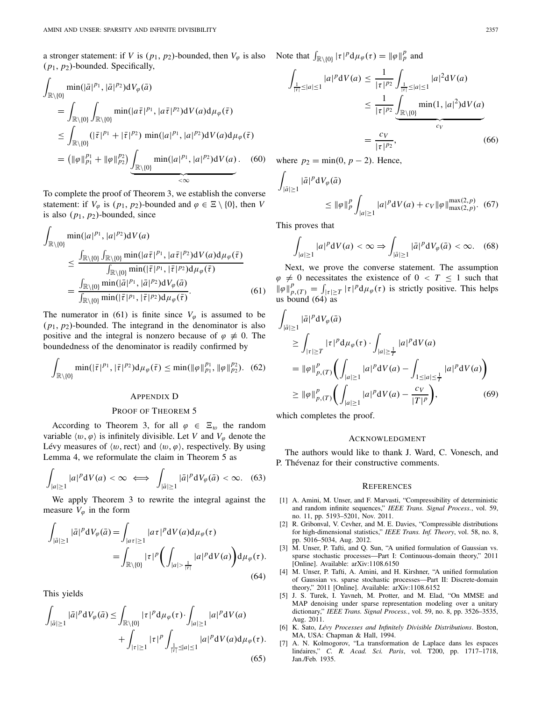a stronger statement: if *V* is  $(p_1, p_2)$ -bounded, then  $V_\varphi$  is also (*p*1, *p*2)-bounded. Specifically,

$$
\int_{\mathbb{R}\setminus\{0\}} \min(|\bar{a}|^{p_1}, |\bar{a}|^{p_2}) dV_{\varphi}(\bar{a})
$$
\n
$$
= \int_{\mathbb{R}\setminus\{0\}} \int_{\mathbb{R}\setminus\{0\}} \min(|\bar{a}\bar{\tau}|^{p_1}, |\bar{a}\bar{\tau}|^{p_2}) dV(\bar{a}) d\mu_{\varphi}(\bar{\tau})
$$
\n
$$
\leq \int_{\mathbb{R}\setminus\{0\}} (|\bar{\tau}|^{p_1} + |\bar{\tau}|^{p_2}) \min(|\bar{a}|^{p_1}, |\bar{a}|^{p_2}) dV(\bar{a}) d\mu_{\varphi}(\bar{\tau})
$$
\n
$$
= (||\varphi||_{p_1}^{p_1} + ||\varphi||_{p_2}^{p_2}) \underbrace{\int_{\mathbb{R}\setminus\{0\}} \min(|\bar{a}|^{p_1}, |\bar{a}|^{p_2}) dV(\bar{a})}_{\leq \infty}.
$$
\n(60)

To complete the proof of Theorem 3, we establish the converse statement: if  $V_{\varphi}$  is  $(p_1, p_2)$ -bounded and  $\varphi \in \Xi \setminus \{0\}$ , then *V* is also  $(p_1, p_2)$ -bounded, since

$$
\int_{\mathbb{R}\setminus\{0\}} \min(|a|^{p_1}, |a|^{p_2}) dV(a)
$$
\n
$$
\leq \frac{\int_{\mathbb{R}\setminus\{0\}} \int_{\mathbb{R}\setminus\{0\}} \min(|a\bar{\tau}|^{p_1}, |a\bar{\tau}|^{p_2}) dV(a) d\mu_{\varphi}(\bar{\tau})}{\int_{\mathbb{R}\setminus\{0\}} \min(|\bar{\tau}|^{p_1}, |\bar{\tau}|^{p_2}) d\mu_{\varphi}(\bar{\tau})}
$$
\n
$$
= \frac{\int_{\mathbb{R}\setminus\{0\}} \min(|\bar{a}|^{p_1}, |\bar{a}|^{p_2}) dV_{\varphi}(\bar{a})}{\int_{\mathbb{R}\setminus\{0\}} \min(|\bar{\tau}|^{p_1}, |\bar{\tau}|^{p_2}) d\mu_{\varphi}(\bar{\tau})}.
$$
\n(61)

The numerator in (61) is finite since  $V_{\varphi}$  is assumed to be (*p*1, *p*2)-bounded. The integrand in the denominator is also positive and the integral is nonzero because of  $\varphi \neq 0$ . The boundedness of the denominator is readily confirmed by

$$
\int_{\mathbb{R}\setminus\{0\}} \min(|\bar{\tau}|^{p_1}, |\bar{\tau}|^{p_2}) d\mu_{\varphi}(\bar{\tau}) \le \min(\|\varphi\|_{p_1}^{p_1}, \|\varphi\|_{p_2}^{p_2}). \quad (62)
$$

#### APPENDIX D

#### PROOF OF THEOREM 5

According to Theorem 3, for all  $\varphi \in \Xi_w$  the random variable  $\langle w, \varphi \rangle$  is infinitely divisible. Let *V* and  $V_{\varphi}$  denote the Lévy measures of  $\langle w, \text{rect} \rangle$  and  $\langle w, \varphi \rangle$ , respectively. By using Lemma 4, we reformulate the claim in Theorem 5 as *p*,  $\varphi$  is infinitely division-<br>sures of  $\langle w, \text{rect} \rangle$  and  $\langle w, \text{rect} \rangle$  and  $\langle w, \text{rect} \rangle$ <br> $\psi$   $dV(a) < \infty \iff$ 

$$
\int_{|a|\geq 1} |a|^p \mathrm{d}V(a) < \infty \iff \int_{|\bar{a}|\geq 1} |\bar{a}|^p \mathrm{d}V_{\varphi}(\bar{a}) < \infty. \tag{63}
$$

We apply Theorem 3 to rewrite the integral against the measure  $V_{\varphi}$  in the form

$$
\int_{|\bar{a}| \ge 1} |\bar{a}|^p \, \mathrm{d}V_{\varphi}(\bar{a}) = \int_{|\bar{a}| \ge 1} |\bar{a}|\bar{a}|^p \, \mathrm{d}V(\bar{a}) \, \mathrm{d}\mu_{\varphi}(\tau)
$$
\n
$$
= \int_{\mathbb{R}\setminus\{0\}} |\tau|^p \left( \int_{|\bar{a}| > \frac{1}{|\tau|}} |\bar{a}|^p \, \mathrm{d}V(\bar{a}) \right) \mathrm{d}\mu_{\varphi}(\tau). \tag{64}
$$

This yields

$$
\int_{|\bar{a}| \ge 1} |\bar{a}|^p \, \mathrm{d}V_{\varphi}(\bar{a}) \le \int_{\mathbb{R} \setminus \{0\}} |\tau|^p \, \mathrm{d}\mu_{\varphi}(\tau) \cdot \int_{|a| \ge 1} |a|^p \, \mathrm{d}V(a) \\
+ \int_{|\tau| \ge 1} |\tau|^p \int_{\frac{1}{|\tau|} \le |a| \le 1} |a|^p \, \mathrm{d}V(a) \, \mathrm{d}\mu_{\varphi}(\tau).
$$
\n(65)

Note that  $\int_{\mathbb{R}\setminus\{0\}} |\tau|^p \, \mathrm{d}\mu_\varphi(\tau) = \|\varphi\|_p^p$  and

$$
\int_{\frac{1}{|\tau|} \le |a| \le 1} |a|^p \, dV(a) \le \frac{1}{|\tau|^{p_2}} \int_{\frac{1}{|\tau|} \le |a| \le 1} |a|^2 \, dV(a)
$$
\n
$$
\le \frac{1}{|\tau|^{p_2}} \underbrace{\int_{\mathbb{R} \setminus \{0\}} \min(1, |a|^2) \, dV(a)}_{c_V}
$$
\n
$$
= \frac{c_V}{|\tau|^{p_2}}, \tag{66}
$$

where  $p_2 = \min(0, p - 2)$ . Hence,

$$
\begin{aligned}\n\int_{|\bar{a}| \ge 1} |\bar{a}|^p \, \mathrm{d}V_{\varphi}(\bar{a}) \\
&\le \| \varphi \|_p^p \int_{|a| \ge 1} |a|^p \, \mathrm{d}V(a) + c_V \| \varphi \|_{\max(2, p)}^{\max(2, p)}. \tag{67}\n\end{aligned}
$$
\nThis proves that

\n
$$
\int |a|^p \, \mathrm{d}V(a) < \infty \Rightarrow \int | \bar{a}|^p \, \mathrm{d}V_{\varphi}(\bar{a}) < \infty. \tag{68}
$$

This proves that

$$
\int_{|a|\geq 1} |a|^p \mathrm{d}V(a) < \infty \Rightarrow \int_{|\bar{a}|\geq 1} |\bar{a}|^p \mathrm{d}V_\varphi(\bar{a}) < \infty. \quad (68)
$$

Next, we prove the converse statement. The assumption  $\varphi \neq 0$  necessitates the existence of  $0 < T \leq 1$  such that U<sub>|a|≥1</sub>  $J_{|\bar{a}| \ge 1}$   $J_{|\bar{a}| \ge 1}$ <br>
Next, we prove the converse statement. The assumption φ ≠ 0 necessitates the existence of 0 < *T* ≤ 1 such that  $\|\varphi\|_{p,(T)}^p = \int_{|\tau| \ge T} |\tau|^p d\mu_{\varphi}(\tau)$  is strictly positive. Thi us bound  $(64)$  as

$$
\int_{|\bar{a}| \ge 1} |\bar{a}|^p \, dV_\varphi(\bar{a})
$$
\n
$$
\ge \int_{|\tau| \ge T} |\tau|^p \, d\mu_\varphi(\tau) \cdot \int_{|a| \ge \frac{1}{T}} |a|^p \, dV(a)
$$
\n
$$
= \|\varphi\|_{p,(T)}^p \bigg( \int_{|a| \ge 1} |a|^p \, dV(a) - \int_{1 \le |a| \le \frac{1}{T}} |a|^p \, dV(a) \bigg)
$$
\n
$$
\ge \|\varphi\|_{p,(T)}^p \bigg( \int_{|a| \ge 1} |a|^p \, dV(a) - \frac{c_V}{|T|^p} \bigg), \tag{69}
$$

which completes the proof.

#### ACKNOWLEDGMENT

The authors would like to thank J. Ward, C. Vonesch, and P. Thévenaz for their constructive comments.

#### **REFERENCES**

- [1] A. Amini, M. Unser, and F. Marvasti, "Compressibility of deterministic and random infinite sequences," *IEEE Trans. Signal Process.*, vol. 59, no. 11, pp. 5193–5201, Nov. 2011.
- [2] R. Gribonval, V. Cevher, and M. E. Davies, "Compressible distributions for high-dimensional statistics," *IEEE Trans. Inf. Theory*, vol. 58, no. 8, pp. 5016–5034, Aug. 2012.
- [3] M. Unser, P. Tafti, and Q. Sun, "A unified formulation of Gaussian vs. sparse stochastic processes—Part I: Continuous-domain theory," 2011 [Online]. Available: arXiv:1108.6150
- [4] M. Unser, P. Tafti, A. Amini, and H. Kirshner, "A unified formulation of Gaussian vs. sparse stochastic processes—Part II: Discrete-domain theory," 2011 [Online]. Available: arXiv:1108.6152
- [5] J. S. Turek, I. Yavneh, M. Protter, and M. Elad, "On MMSE and MAP denoising under sparse representation modeling over a unitary dictionary," *IEEE Trans. Signal Process.*, vol. 59, no. 8, pp. 3526–3535, Aug. 2011.
- [6] K. Sato, *Lévy Processes and Infinitely Divisible Distributions*. Boston, MA, USA: Chapman & Hall, 1994.
- [7] A. N. Kolmogorov, "La transformation de Laplace dans les espaces linéaires," *C. R. Acad. Sci. Paris*, vol. T200, pp. 1717–1718, Jan./Feb. 1935.